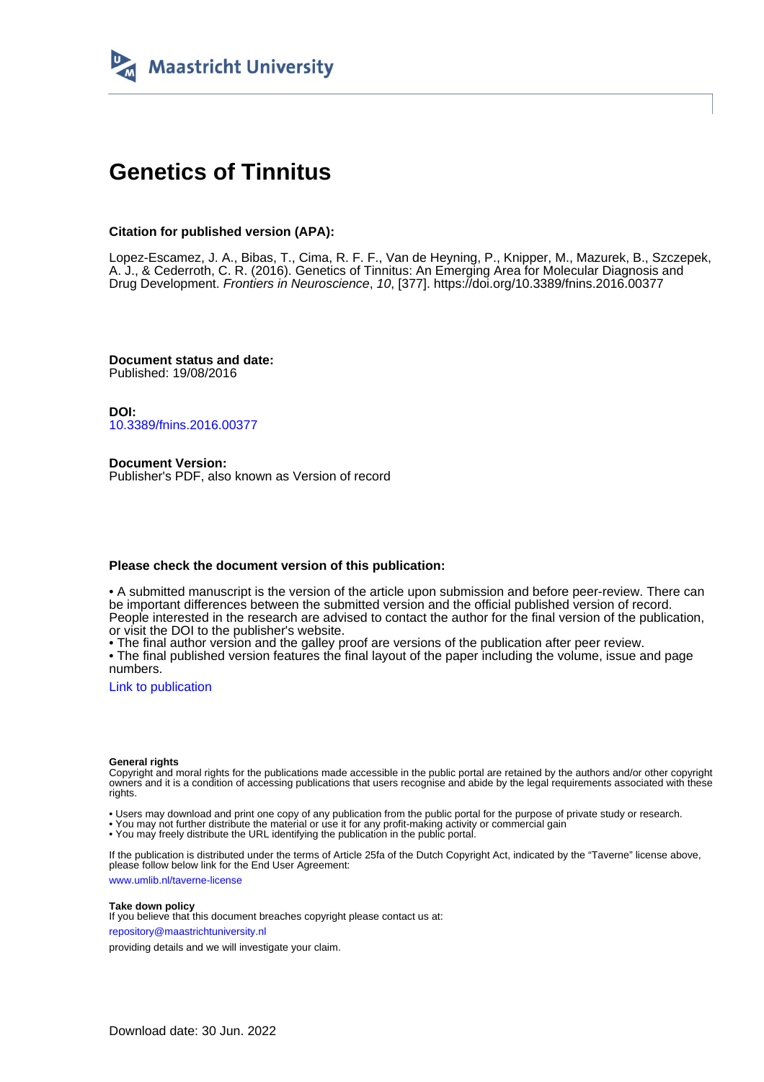

## **Genetics of Tinnitus**

#### **Citation for published version (APA):**

Lopez-Escamez, J. A., Bibas, T., Cima, R. F. F., Van de Heyning, P., Knipper, M., Mazurek, B., Szczepek, A. J., & Cederroth, C. R. (2016). Genetics of Tinnitus: An Emerging Area for Molecular Diagnosis and Drug Development. Frontiers in Neuroscience, 10, [377]. <https://doi.org/10.3389/fnins.2016.00377>

**Document status and date:** Published: 19/08/2016

**DOI:** [10.3389/fnins.2016.00377](https://doi.org/10.3389/fnins.2016.00377)

**Document Version:** Publisher's PDF, also known as Version of record

#### **Please check the document version of this publication:**

• A submitted manuscript is the version of the article upon submission and before peer-review. There can be important differences between the submitted version and the official published version of record. People interested in the research are advised to contact the author for the final version of the publication, or visit the DOI to the publisher's website.

• The final author version and the galley proof are versions of the publication after peer review.

• The final published version features the final layout of the paper including the volume, issue and page numbers.

[Link to publication](https://cris.maastrichtuniversity.nl/en/publications/4fda59d4-b4f3-495f-8627-8c2cfd86153c)

#### **General rights**

Copyright and moral rights for the publications made accessible in the public portal are retained by the authors and/or other copyright owners and it is a condition of accessing publications that users recognise and abide by the legal requirements associated with these rights.

• Users may download and print one copy of any publication from the public portal for the purpose of private study or research.

• You may not further distribute the material or use it for any profit-making activity or commercial gain

• You may freely distribute the URL identifying the publication in the public portal.

If the publication is distributed under the terms of Article 25fa of the Dutch Copyright Act, indicated by the "Taverne" license above, please follow below link for the End User Agreement:

www.umlib.nl/taverne-license

#### **Take down policy**

If you believe that this document breaches copyright please contact us at: repository@maastrichtuniversity.nl

providing details and we will investigate your claim.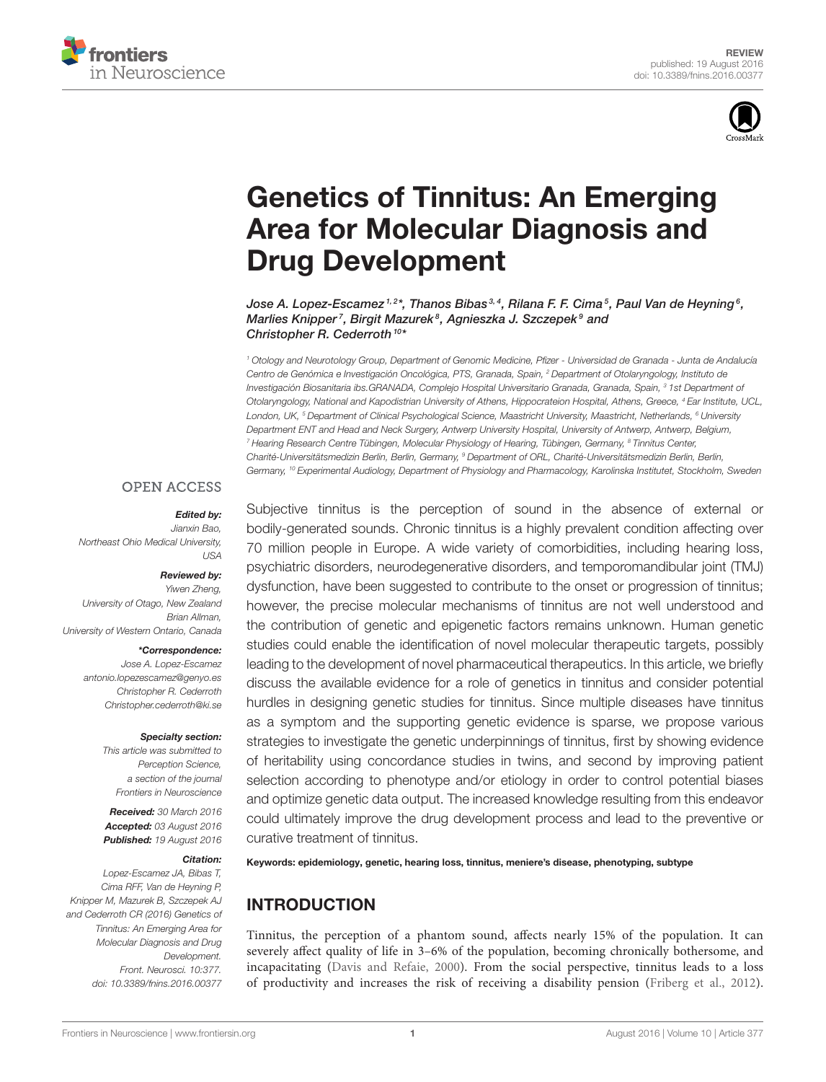



# Genetics of Tinnitus: An Emerging [Area for Molecular Diagnosis and](http://journal.frontiersin.org/article/10.3389/fnins.2016.00377/abstract) Drug Development

[Jose A. Lopez-Escamez](http://loop.frontiersin.org/people/186429/overview) $^{\text{\tiny{\textit{1,2}}} *}$ , [Thanos Bibas](http://loop.frontiersin.org/people/310417/overview) $^{\text{\tiny{\textit{3,4}}}}$ , [Rilana F. F. Cima](http://loop.frontiersin.org/people/189958/overview) $^{\text{\tiny{\textit{5}}}}$ , [Paul Van de Heyning](http://loop.frontiersin.org/people/339074/overview) $^{\text{\tiny{\textit{6}}}}$ , [Marlies Knipper](http://loop.frontiersin.org/people/97053/overview)<sup>7</sup>, [Birgit Mazurek](http://loop.frontiersin.org/people/34723/overview)<sup>8</sup>, [Agnieszka J. Szczepek](http://loop.frontiersin.org/people/34732/overview)<sup>9</sup> and [Christopher R. Cederroth](http://loop.frontiersin.org/people/288539/overview)<sup>10\*</sup>

<sup>1</sup> Otology and Neurotology Group, Department of Genomic Medicine, Pfizer - Universidad de Granada - Junta de Andalucía Centro de Genómica e Investigación Oncológica, PTS, Granada, Spain, <sup>2</sup> Department of Otolaryngology, Instituto de Investigación Biosanitaria ibs.GRANADA, Complejo Hospital Universitario Granada, Granada, Spain, <sup>3</sup> 1st Department of Otolaryngology, National and Kapodistrian University of Athens, Hippocrateion Hospital, Athens, Greece, <sup>4</sup> Ear Institute, UCL, London, UK, <sup>5</sup> Department of Clinical Psychological Science, Maastricht University, Maastricht, Netherlands, <sup>6</sup> University Department ENT and Head and Neck Surgery, Antwerp University Hospital, University of Antwerp, Antwerp, Belgium, <sup>7</sup> Hearing Research Centre Tübingen, Molecular Physiology of Hearing, Tübingen, Germany, <sup>8</sup> Tinnitus Center, Charité-Universitätsmedizin Berlin, Berlin, Germany, <sup>9</sup> Department of ORL, Charité-Universitätsmedizin Berlin, Berlin, Germany, <sup>10</sup> Experimental Audiology, Department of Physiology and Pharmacology, Karolinska Institutet, Stockholm, Sweden

#### **OPEN ACCESS**

#### Edited by:

Jianxin Bao, Northeast Ohio Medical University, USA

#### Reviewed by:

Yiwen Zheng, University of Otago, New Zealand Brian Allman, University of Western Ontario, Canada

#### \*Correspondence:

Jose A. Lopez-Escamez [antonio.lopezescamez@genyo.es](mailto:antonio.lopezescamez@genyo.es) Christopher R. Cederroth [Christopher.cederroth@ki.se](mailto:Christopher.cederroth@ki.se)

#### Specialty section:

This article was submitted to Perception Science, a section of the journal Frontiers in Neuroscience

Received: 30 March 2016 Accepted: 03 August 2016 Published: 19 August 2016

#### Citation:

Lopez-Escamez JA, Bibas T, Cima RFF, Van de Heyning P, Knipper M, Mazurek B, Szczepek AJ and Cederroth CR (2016) Genetics of Tinnitus: An Emerging Area for Molecular Diagnosis and Drug Development. Front. Neurosci. 10:377. doi: [10.3389/fnins.2016.00377](http://dx.doi.org/10.3389/fnins.2016.00377)

Subjective tinnitus is the perception of sound in the absence of external or bodily-generated sounds. Chronic tinnitus is a highly prevalent condition affecting over 70 million people in Europe. A wide variety of comorbidities, including hearing loss, psychiatric disorders, neurodegenerative disorders, and temporomandibular joint (TMJ) dysfunction, have been suggested to contribute to the onset or progression of tinnitus; however, the precise molecular mechanisms of tinnitus are not well understood and the contribution of genetic and epigenetic factors remains unknown. Human genetic studies could enable the identification of novel molecular therapeutic targets, possibly leading to the development of novel pharmaceutical therapeutics. In this article, we briefly discuss the available evidence for a role of genetics in tinnitus and consider potential hurdles in designing genetic studies for tinnitus. Since multiple diseases have tinnitus as a symptom and the supporting genetic evidence is sparse, we propose various strategies to investigate the genetic underpinnings of tinnitus, first by showing evidence of heritability using concordance studies in twins, and second by improving patient selection according to phenotype and/or etiology in order to control potential biases and optimize genetic data output. The increased knowledge resulting from this endeavor could ultimately improve the drug development process and lead to the preventive or curative treatment of tinnitus.

Keywords: epidemiology, genetic, hearing loss, tinnitus, meniere's disease, phenotyping, subtype

### INTRODUCTION

Tinnitus, the perception of a phantom sound, affects nearly 15% of the population. It can severely affect quality of life in 3–6% of the population, becoming chronically bothersome, and incapacitating [\(Davis and Refaie, 2000\)](#page-10-0). From the social perspective, tinnitus leads to a loss of productivity and increases the risk of receiving a disability pension [\(Friberg et al., 2012\)](#page-11-0).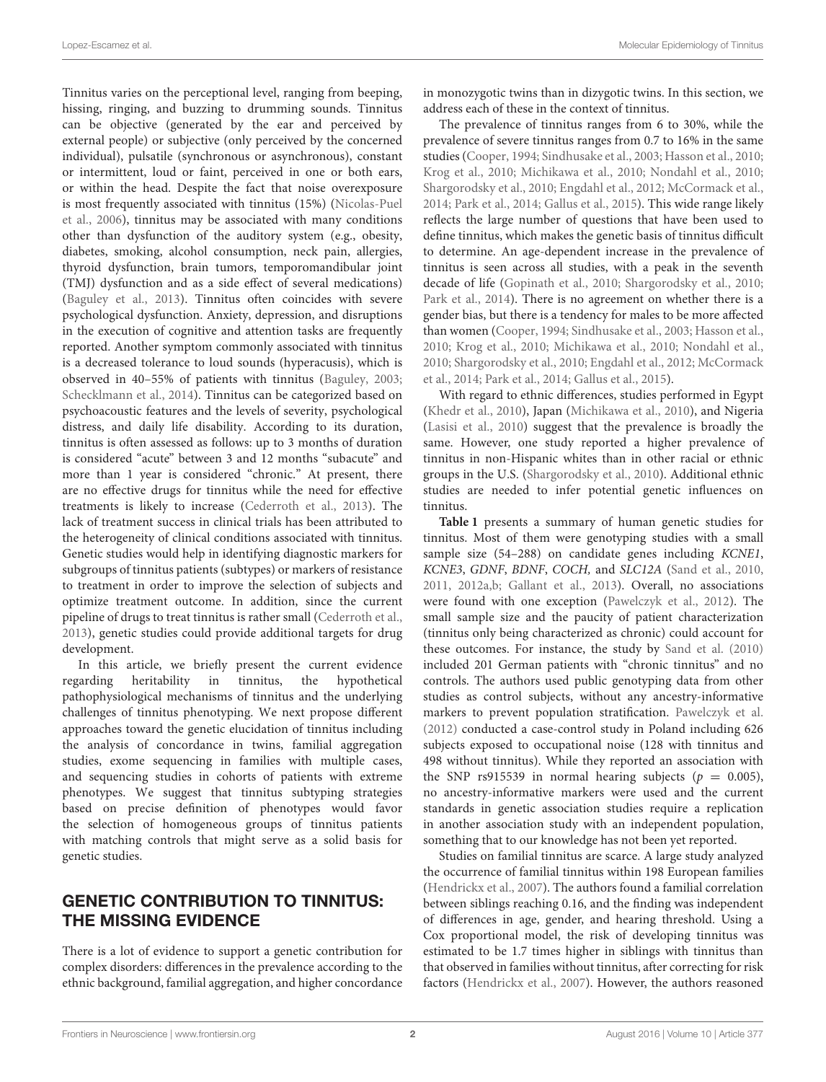Tinnitus varies on the perceptional level, ranging from beeping, hissing, ringing, and buzzing to drumming sounds. Tinnitus can be objective (generated by the ear and perceived by external people) or subjective (only perceived by the concerned individual), pulsatile (synchronous or asynchronous), constant or intermittent, loud or faint, perceived in one or both ears, or within the head. Despite the fact that noise overexposure is most frequently associated with tinnitus (15%) (Nicolas-Puel et al., [2006\)](#page-12-0), tinnitus may be associated with many conditions other than dysfunction of the auditory system (e.g., obesity, diabetes, smoking, alcohol consumption, neck pain, allergies, thyroid dysfunction, brain tumors, temporomandibular joint (TMJ) dysfunction and as a side effect of several medications) [\(Baguley et al., 2013\)](#page-10-1). Tinnitus often coincides with severe psychological dysfunction. Anxiety, depression, and disruptions in the execution of cognitive and attention tasks are frequently reported. Another symptom commonly associated with tinnitus is a decreased tolerance to loud sounds (hyperacusis), which is observed in 40–55% of patients with tinnitus [\(Baguley, 2003;](#page-10-2) [Schecklmann et al., 2014\)](#page-12-1). Tinnitus can be categorized based on psychoacoustic features and the levels of severity, psychological distress, and daily life disability. According to its duration, tinnitus is often assessed as follows: up to 3 months of duration is considered "acute" between 3 and 12 months "subacute" and more than 1 year is considered "chronic." At present, there are no effective drugs for tinnitus while the need for effective treatments is likely to increase [\(Cederroth et al., 2013\)](#page-10-3). The lack of treatment success in clinical trials has been attributed to the heterogeneity of clinical conditions associated with tinnitus. Genetic studies would help in identifying diagnostic markers for subgroups of tinnitus patients (subtypes) or markers of resistance to treatment in order to improve the selection of subjects and optimize treatment outcome. In addition, since the current pipeline of drugs to treat tinnitus is rather small [\(Cederroth et al.,](#page-10-3) [2013\)](#page-10-3), genetic studies could provide additional targets for drug development.

In this article, we briefly present the current evidence regarding heritability in tinnitus, the hypothetical pathophysiological mechanisms of tinnitus and the underlying challenges of tinnitus phenotyping. We next propose different approaches toward the genetic elucidation of tinnitus including the analysis of concordance in twins, familial aggregation studies, exome sequencing in families with multiple cases, and sequencing studies in cohorts of patients with extreme phenotypes. We suggest that tinnitus subtyping strategies based on precise definition of phenotypes would favor the selection of homogeneous groups of tinnitus patients with matching controls that might serve as a solid basis for genetic studies.

### GENETIC CONTRIBUTION TO TINNITUS: THE MISSING EVIDENCE

There is a lot of evidence to support a genetic contribution for complex disorders: differences in the prevalence according to the ethnic background, familial aggregation, and higher concordance in monozygotic twins than in dizygotic twins. In this section, we address each of these in the context of tinnitus.

The prevalence of tinnitus ranges from 6 to 30%, while the prevalence of severe tinnitus ranges from 0.7 to 16% in the same studies [\(Cooper, 1994;](#page-10-4) [Sindhusake et al., 2003;](#page-12-2) [Hasson et al., 2010;](#page-11-1) [Krog et al., 2010;](#page-11-2) [Michikawa et al., 2010;](#page-12-3) [Nondahl et al., 2010;](#page-12-4) [Shargorodsky et al., 2010;](#page-12-5) [Engdahl et al., 2012;](#page-10-5) [McCormack et al.,](#page-12-6) [2014;](#page-12-6) [Park et al., 2014;](#page-12-7) [Gallus et al., 2015\)](#page-11-3). This wide range likely reflects the large number of questions that have been used to define tinnitus, which makes the genetic basis of tinnitus difficult to determine. An age-dependent increase in the prevalence of tinnitus is seen across all studies, with a peak in the seventh decade of life [\(Gopinath et al., 2010;](#page-11-4) [Shargorodsky et al., 2010;](#page-12-5) [Park et al., 2014\)](#page-12-7). There is no agreement on whether there is a gender bias, but there is a tendency for males to be more affected than women [\(Cooper, 1994;](#page-10-4) [Sindhusake et al., 2003;](#page-12-2) [Hasson et al.,](#page-11-1) [2010;](#page-11-1) [Krog et al., 2010;](#page-11-2) [Michikawa et al., 2010;](#page-12-3) [Nondahl et al.,](#page-12-4) [2010;](#page-12-4) [Shargorodsky et al., 2010;](#page-12-5) [Engdahl et al., 2012;](#page-10-5) McCormack et al., [2014;](#page-12-6) [Park et al., 2014;](#page-12-7) [Gallus et al., 2015\)](#page-11-3).

With regard to ethnic differences, studies performed in Egypt [\(Khedr et al., 2010\)](#page-11-5), Japan [\(Michikawa et al., 2010\)](#page-12-3), and Nigeria [\(Lasisi et al., 2010\)](#page-11-6) suggest that the prevalence is broadly the same. However, one study reported a higher prevalence of tinnitus in non-Hispanic whites than in other racial or ethnic groups in the U.S. [\(Shargorodsky et al., 2010\)](#page-12-5). Additional ethnic studies are needed to infer potential genetic influences on tinnitus.

**[Table 1](#page-3-0)** presents a summary of human genetic studies for tinnitus. Most of them were genotyping studies with a small sample size (54–288) on candidate genes including KCNE1, KCNE3, GDNF, BDNF, COCH, and SLC12A [\(Sand et al., 2010,](#page-12-8) [2011,](#page-12-9) [2012a,](#page-12-10)[b;](#page-12-11) [Gallant et al., 2013\)](#page-11-7). Overall, no associations were found with one exception [\(Pawelczyk et al., 2012\)](#page-12-12). The small sample size and the paucity of patient characterization (tinnitus only being characterized as chronic) could account for these outcomes. For instance, the study by [Sand et al. \(2010\)](#page-12-8) included 201 German patients with "chronic tinnitus" and no controls. The authors used public genotyping data from other studies as control subjects, without any ancestry-informative markers to prevent population stratification. [Pawelczyk et al.](#page-12-12) [\(2012\)](#page-12-12) conducted a case-control study in Poland including 626 subjects exposed to occupational noise (128 with tinnitus and 498 without tinnitus). While they reported an association with the SNP rs915539 in normal hearing subjects ( $p = 0.005$ ), no ancestry-informative markers were used and the current standards in genetic association studies require a replication in another association study with an independent population, something that to our knowledge has not been yet reported.

Studies on familial tinnitus are scarce. A large study analyzed the occurrence of familial tinnitus within 198 European families [\(Hendrickx et al., 2007\)](#page-11-8). The authors found a familial correlation between siblings reaching 0.16, and the finding was independent of differences in age, gender, and hearing threshold. Using a Cox proportional model, the risk of developing tinnitus was estimated to be 1.7 times higher in siblings with tinnitus than that observed in families without tinnitus, after correcting for risk factors [\(Hendrickx et al., 2007\)](#page-11-8). However, the authors reasoned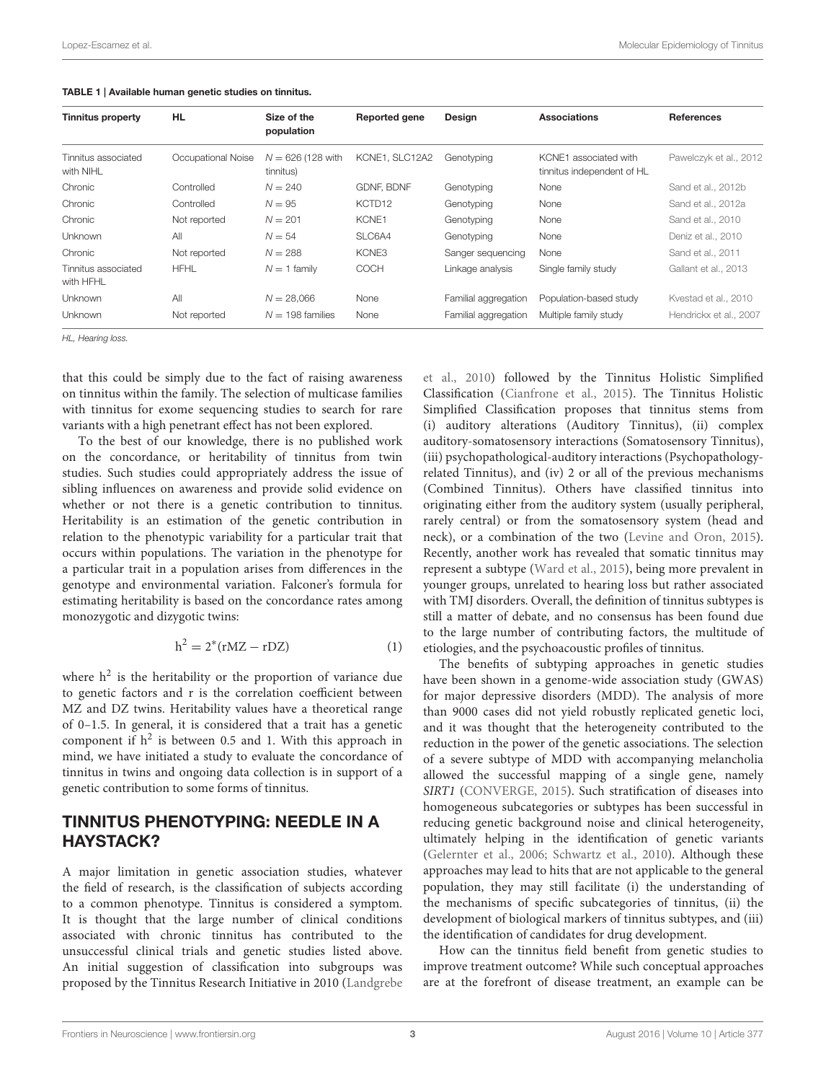| <b>Tinnitus property</b>         | <b>HL</b>          | Size of the<br>population        | <b>Reported gene</b> | Design               | <b>Associations</b>                                 | <b>References</b>      |
|----------------------------------|--------------------|----------------------------------|----------------------|----------------------|-----------------------------------------------------|------------------------|
| Tinnitus associated<br>with NIHL | Occupational Noise | $N = 626$ (128 with<br>tinnitus) | KCNE1, SLC12A2       | Genotyping           | KCNE1 associated with<br>tinnitus independent of HL | Pawelczyk et al., 2012 |
| Chronic                          | Controlled         | $N = 240$                        | <b>GDNF, BDNF</b>    | Genotyping           | None                                                | Sand et al., 2012b     |
| Chronic                          | Controlled         | $N = 95$                         | KCTD <sub>12</sub>   | Genotyping           | None                                                | Sand et al., 2012a     |
| Chronic                          | Not reported       | $N = 201$                        | KCNE1                | Genotyping           | None                                                | Sand et al., 2010      |
| <b>Unknown</b>                   | All                | $N = 54$                         | SLC6A4               | Genotyping           | None                                                | Deniz et al., 2010     |
| Chronic                          | Not reported       | $N = 288$                        | KCNE3                | Sanger sequencing    | None                                                | Sand et al., 2011      |
| Tinnitus associated<br>with HFHL | <b>HFHL</b>        | $N = 1$ family                   | COCH                 | Linkage analysis     | Single family study                                 | Gallant et al., 2013   |
| <b>Unknown</b>                   | All                | $N = 28.066$                     | None                 | Familial aggregation | Population-based study                              | Kvestad et al., 2010   |
| <b>Unknown</b>                   | Not reported       | $N = 198$ families               | None                 | Familial aggregation | Multiple family study                               | Hendrickx et al., 2007 |

<span id="page-3-0"></span>

|  | TABLE 1   Available human genetic studies on tinnitus. |  |  |
|--|--------------------------------------------------------|--|--|
|--|--------------------------------------------------------|--|--|

HL, Hearing loss.

that this could be simply due to the fact of raising awareness on tinnitus within the family. The selection of multicase families with tinnitus for exome sequencing studies to search for rare variants with a high penetrant effect has not been explored.

To the best of our knowledge, there is no published work on the concordance, or heritability of tinnitus from twin studies. Such studies could appropriately address the issue of sibling influences on awareness and provide solid evidence on whether or not there is a genetic contribution to tinnitus. Heritability is an estimation of the genetic contribution in relation to the phenotypic variability for a particular trait that occurs within populations. The variation in the phenotype for a particular trait in a population arises from differences in the genotype and environmental variation. Falconer's formula for estimating heritability is based on the concordance rates among monozygotic and dizygotic twins:

$$
h^2 = 2^*(rMZ - rDZ)
$$
 (1)

where  $h^2$  is the heritability or the proportion of variance due to genetic factors and r is the correlation coefficient between MZ and DZ twins. Heritability values have a theoretical range of 0–1.5. In general, it is considered that a trait has a genetic component if  $h^2$  is between 0.5 and 1. With this approach in mind, we have initiated a study to evaluate the concordance of tinnitus in twins and ongoing data collection is in s[upport of a](#page-11-10) genetic contribution to some forms of tinnitus.

### TINNITUS PHENOTYPING: NEEDLE IN A HAYSTACK?

A major limitation in genetic association studies, whatever the field of research, is the classification of subjects according to a common phenotype. Tinnitus is considered a symptom. It is thought that the large number of clinical conditions associated with chronic tinnitus has contributed to the unsuccessful clinical trials and genetic studies listed above. An initial suggestion of classification into subgroups was proposed by the Tinnitus Research Initiative in 2010 (Landgrebe et al., [2010\)](#page-11-10) followed by the Tinnitus Holistic Simplified Classification [\(Cianfrone et al., 2015\)](#page-10-7). The Tinnitus Holistic Simplified Classification proposes that tinnitus stems from (i) auditory alterations (Auditory Tinnitus), (ii) complex auditory-somatosensory interactions (Somatosensory Tinnitus), (iii) psychopathological-auditory interactions (Psychopathologyrelated Tinnitus), and (iv) 2 or all of the previous mechanisms (Combined Tinnitus). Others have classified tinnitus into originating either from the auditory system (usually peripheral, rarely central) or from the somatosensory system (head and neck), or a combination of the two [\(Levine and Oron, 2015\)](#page-11-11). Recently, another work has revealed that somatic tinnitus may represent a subtype [\(Ward et al., 2015\)](#page-13-0), being more prevalent in younger groups, unrelated to hearing loss but rather associated with TMJ disorders. Overall, the definition of tinnitus subtypes is still a matter of debate, and no consensus has been found due to the large number of contributing factors, the multitude of etiologies, and the psychoacoustic profiles of tinnitus.

The benefits of subtyping approaches in genetic studies have been shown in a genome-wide association study (GWAS) for major depressive disorders (MDD). The analysis of more than 9000 cases did not yield robustly replicated genetic loci, and it was thought that the heterogeneity contributed to the reduction in the power of the genetic associations. The selection of a severe subtype of MDD with accompanying melancholia allowed the successful mapping of a single gene, namely SIRT1 [\(CONVERGE, 2015\)](#page-10-8). Such stratification of diseases into homogeneous subcategories or subtypes has been successful in reducing genetic background noise and clinical heterogeneity, ultimately helping in the identification of genetic variants [\(Gelernter et al., 2006;](#page-11-12) [Schwartz et al., 2010\)](#page-12-13). Although these approaches may lead to hits that are not applicable to the general population, they may still facilitate (i) the understanding of the mechanisms of specific subcategories of tinnitus, (ii) the development of biological markers of tinnitus subtypes, and (iii) the identification of candidates for drug development.

How can the tinnitus field benefit from genetic studies to improve treatment outcome? While such conceptual approaches are at the forefront of disease treatment, an example can be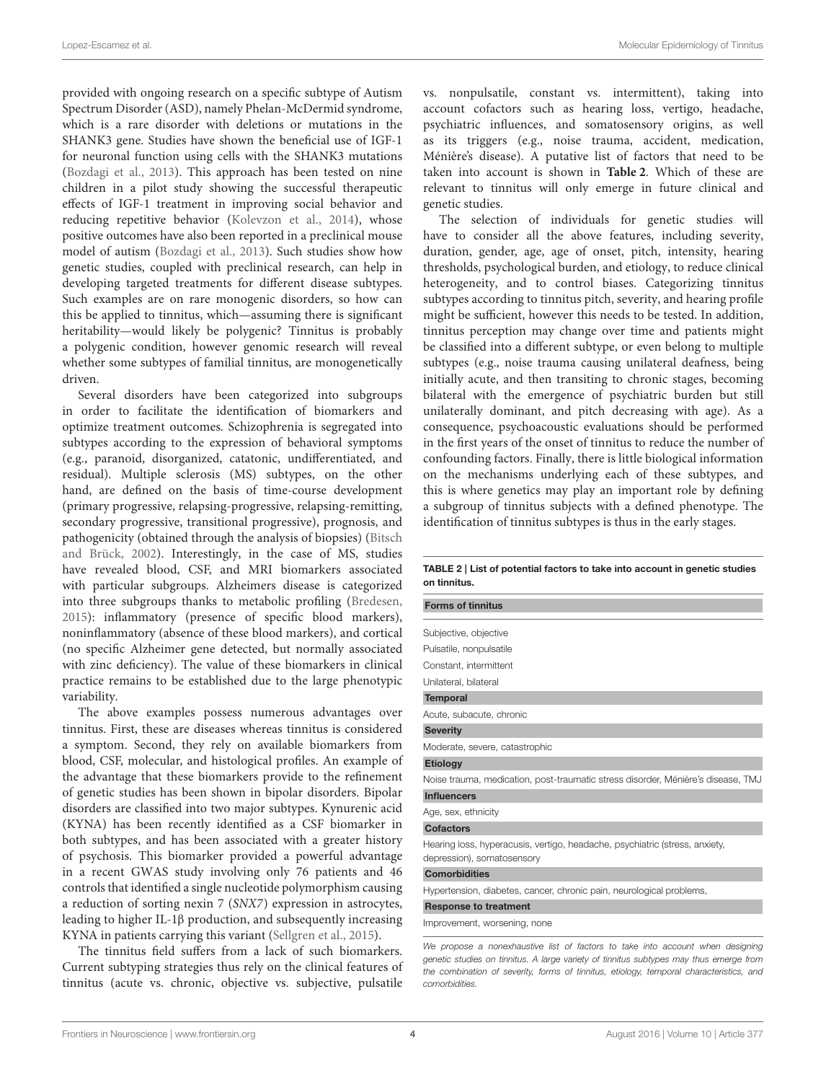provided with ongoing research on a specific subtype of Autism Spectrum Disorder (ASD), namely Phelan-McDermid syndrome, which is a rare disorder with deletions or mutations in the SHANK3 gene. Studies have shown the beneficial use of IGF-1 for neuronal function using cells with the SHANK3 mutations [\(Bozdagi et al., 2013\)](#page-10-9). This approach has been tested on nine children in a pilot study showing the successful therapeutic effects of IGF-1 treatment in improving social behavior and reducing repetitive behavior [\(Kolevzon et al., 2014\)](#page-11-13), whose positive outcomes have also been reported in a preclinical mouse model of autism [\(Bozdagi et al., 2013\)](#page-10-9). Such studies show how genetic studies, coupled with preclinical research, can help in developing targeted treatments for different disease subtypes. Such examples are on rare monogenic disorders, so how can this be applied to tinnitus, which—assuming there is significant heritability—would likely be polygenic? Tinnitus is probably a polygenic condition, however genomic research will reveal whether some subtypes of familial tinnitus, are monogenetically driven.

Several disorders have been categorized into subgroups in order to facilitate the identification of biomarkers and optimize treatment outcomes. Schizophrenia is segregated into subtypes according to the expression of behavioral symptoms (e.g., paranoid, disorganized, catatonic, undifferentiated, and residual). Multiple sclerosis (MS) subtypes, on the other hand, are defined on the basis of time-course development (primary progressive, relapsing-progressive, relapsing-remitting, secondary progressive, transitional progressive), prognosis, and pathogenicity (obtained through the analysis of biopsies) (Bitsch and Brück, [2002\)](#page-10-10). Interestingly, in the case of MS, studies have revealed blood, CSF, and MRI biomarkers associated with particular subgroups. Alzheimers disease is categorized into three subgroups thanks to metabolic profiling [\(Bredesen,](#page-10-11) [2015\)](#page-10-11): inflammatory (presence of specific blood markers), noninflammatory (absence of these blood markers), and cortical (no specific Alzheimer gene detected, but normally associated with zinc deficiency). The value of these biomarkers in clinical practice remains to be established due to the large phenotypic variability.

The above examples possess numerous advantages over tinnitus. First, these are diseases whereas tinnitus is considered a symptom. Second, they rely on available biomarkers from blood, CSF, molecular, and histological profiles. An example of the advantage that these biomarkers provide to the refinement of genetic studies has been shown in bipolar disorders. Bipolar disorders are classified into two major subtypes. Kynurenic acid (KYNA) has been recently identified as a CSF biomarker in both subtypes, and has been associated with a greater history of psychosis. This biomarker provided a powerful advantage in a recent GWAS study involving only 76 patients and 46 controls that identified a single nucleotide polymorphism causing a reduction of sorting nexin 7 (SNX7) expression in astrocytes, leading to higher IL-1β production, and subsequently increasing KYNA in patients carrying this variant [\(Sellgren et al., 2015\)](#page-12-14).

The tinnitus field suffers from a lack of such biomarkers. Current subtyping strategies thus rely on the clinical features of tinnitus (acute vs. chronic, objective vs. subjective, pulsatile vs. nonpulsatile, constant vs. intermittent), taking into account cofactors such as hearing loss, vertigo, headache, psychiatric influences, and somatosensory origins, as well as its triggers (e.g., noise trauma, accident, medication, Ménière's disease). A putative list of factors that need to be taken into account is shown in **[Table 2](#page-4-0)**. Which of these are relevant to tinnitus will only emerge in future clinical and genetic studies.

The selection of individuals for genetic studies will have to consider all the above features, including severity, duration, gender, age, age of onset, pitch, intensity, hearing thresholds, psychological burden, and etiology, to reduce clinical heterogeneity, and to control biases. Categorizing tinnitus subtypes according to tinnitus pitch, severity, and hearing profile might be sufficient, however this needs to be tested. In addition, tinnitus perception may change over time and patients might be classified into a different subtype, or even belong to multiple subtypes (e.g., noise trauma causing unilateral deafness, being initially acute, and then transiting to chronic stages, becoming bilateral with the emergence of psychiatric burden but still unilaterally dominant, and pitch decreasing with age). As a consequence, psychoacoustic evaluations should be performed in the first years of the onset of tinnitus to reduce the number of confounding factors. Finally, there is little biological information on the mechanisms underlying each of these subtypes, and this is where genetics may play an important role by defining a subgroup of tinnitus subjects with a defined phenotype. The identification of tinnitus subtypes is thus in the early stages.

<span id="page-4-0"></span>TABLE 2 | List of potential factors to take into account in genetic studies on tinnitus.

| <b>Forms of tinnitus</b>                                                                                                                                                                                                                                            |
|---------------------------------------------------------------------------------------------------------------------------------------------------------------------------------------------------------------------------------------------------------------------|
| Subjective, objective                                                                                                                                                                                                                                               |
| Pulsatile, nonpulsatile                                                                                                                                                                                                                                             |
| Constant, intermittent                                                                                                                                                                                                                                              |
| Unilateral, bilateral                                                                                                                                                                                                                                               |
| <b>Temporal</b>                                                                                                                                                                                                                                                     |
| Acute, subacute, chronic                                                                                                                                                                                                                                            |
| <b>Severity</b>                                                                                                                                                                                                                                                     |
| Moderate, severe, catastrophic                                                                                                                                                                                                                                      |
| <b>Etiology</b>                                                                                                                                                                                                                                                     |
| Noise trauma, medication, post-traumatic stress disorder, Ménière's disease, TMJ                                                                                                                                                                                    |
| <b>Influencers</b>                                                                                                                                                                                                                                                  |
| Age, sex, ethnicity                                                                                                                                                                                                                                                 |
| <b>Cofactors</b>                                                                                                                                                                                                                                                    |
| Hearing loss, hyperacusis, vertigo, headache, psychiatric (stress, anxiety,<br>depression), somatosensory                                                                                                                                                           |
| <b>Comorbidities</b>                                                                                                                                                                                                                                                |
| Hypertension, diabetes, cancer, chronic pain, neurological problems,                                                                                                                                                                                                |
| <b>Response to treatment</b>                                                                                                                                                                                                                                        |
| Improvement, worsening, none                                                                                                                                                                                                                                        |
| We propose a nonexhaustive list of factors to take into account when designing<br>genetic studies on tinnitus. A large variety of tinnitus subtypes may thus emerge from<br>the combination of severity, forms of tinnitus, etiology, temporal characteristics, and |

comorbidities.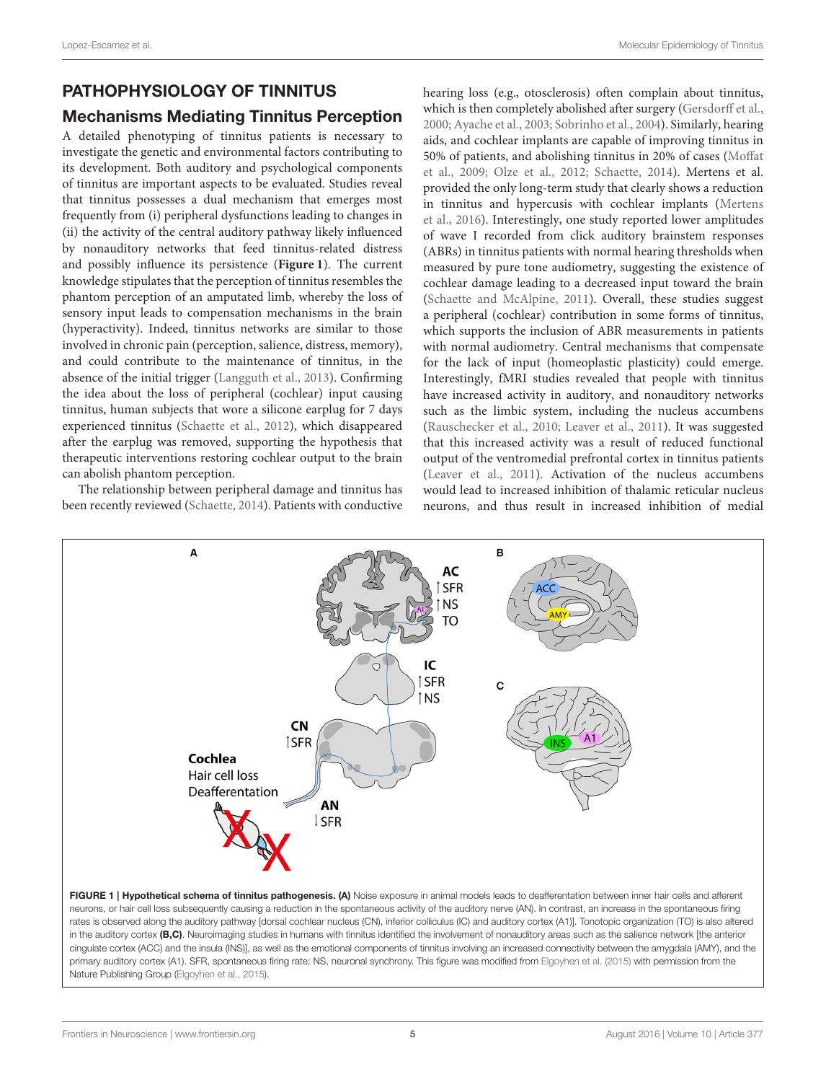### PATHOPHYSIOLOGY OF TINNITUS

### Mechanisms Mediating Tinnitus Perception

A detailed phenotyping of tinnitus patients is necessary to investigate the genetic and environmental factors contributing to its development. Both auditory and psychological components of tinnitus are important aspects to be evaluated. Studies reveal that tinnitus possesses a dual mechanism that emerges most frequently from (i) peripheral dysfunctions leading to changes in (ii) the activity of the central auditory pathway likely influenced by nonauditory networks that feed tinnitus-related distress and possibly influence its persistence (**[Figure 1](#page-5-0)**). The current knowledge stipulates that the perception of tinnitus resembles the phantom perception of an amputated limb, whereby the loss of sensory input leads to compensation mechanisms in the brain (hyperactivity). Indeed, tinnitus networks are similar to those involved in chronic pain (perception, salience, distress, memory), and could contribute to the maintenance of tinnitus, in the absence of the initial trigger [\(Langguth et al., 2013\)](#page-11-14). Confirming the idea about the loss of peripheral (cochlear) input causing tinnitus, human subjects that wore a silicone earplug for 7 days experienced tinnitus [\(Schaette et al., 2012\)](#page-12-15), which disappeared after the earplug was removed, supporting the hypothesis that therapeutic interventions restoring cochlear output to the brain can abolish phantom perception.

The relationship between peripheral damage and tinnitus has been recently reviewed [\(Schaette, 2014\)](#page-12-16). Patients with conductive hearing loss (e.g., otosclerosis) often complain about tinnitus, which is then completely abolished after surgery [\(Gersdorff et al.,](#page-11-15) [2000;](#page-11-15) [Ayache et al., 2003;](#page-10-12) [Sobrinho et al., 2004\)](#page-12-17). Similarly, hearing aids, and cochlear implants are capable of improving tinnitus in 50% of patients, and abolishing tinnitus in 20% of cases (Moffat et al., [2009;](#page-12-18) [Olze et al., 2012;](#page-12-19) [Schaette, 2014\)](#page-12-16). Mertens et al. provided the only long-term study that clearly shows a reduction in tinnitus and hypercusis with cochlear implants (Mertens et al., [2016\)](#page-12-20). Interestingly, one study reported lower amplitudes of wave I recorded from click auditory brainstem responses (ABRs) in tinnitus patients with normal hearing thresholds when measured by pure tone audiometry, suggesting the existence of cochlear damage leading to a decreased input toward the brain [\(Schaette and McAlpine, 2011\)](#page-12-21). Overall, these studies suggest a peripheral (cochlear) contribution in some forms of tinnitus, which supports the inclusion of ABR measurements in patients with normal audiometry. Central mechanisms that compensate for the lack of input (homeoplastic plasticity) could emerge. Interestingly, fMRI studies revealed that people with tinnitus have increased activity in auditory, and nonauditory networks such as the limbic system, including the nucleus accumbens [\(Rauschecker et al., 2010;](#page-12-22) [Leaver et al., 2011\)](#page-11-16). It was suggested that this increased activity was a result of reduced functional output of the ventromedial prefrontal cortex in tinnitus patients [\(Leaver et al., 2011\)](#page-11-16). Activation of the nucleus accumbens would lead to increased inhibition of thalamic reticular nucleus neurons, and thus result in increased inhibition of medial



<span id="page-5-0"></span>cingulate cortex (ACC) and the insula (INS)], as well as the emotional components of tinnitus involving an increased connectivity between the amygdala (AMY), and the primary auditory cortex (A1). SFR, spontaneous firing rate; NS, neuronal synchrony. This figure was modified from [Elgoyhen et al. \(2015\)](#page-10-13) with permission from the Nature Publishing Group [\(Elgoyhen et al., 2015\)](#page-10-13).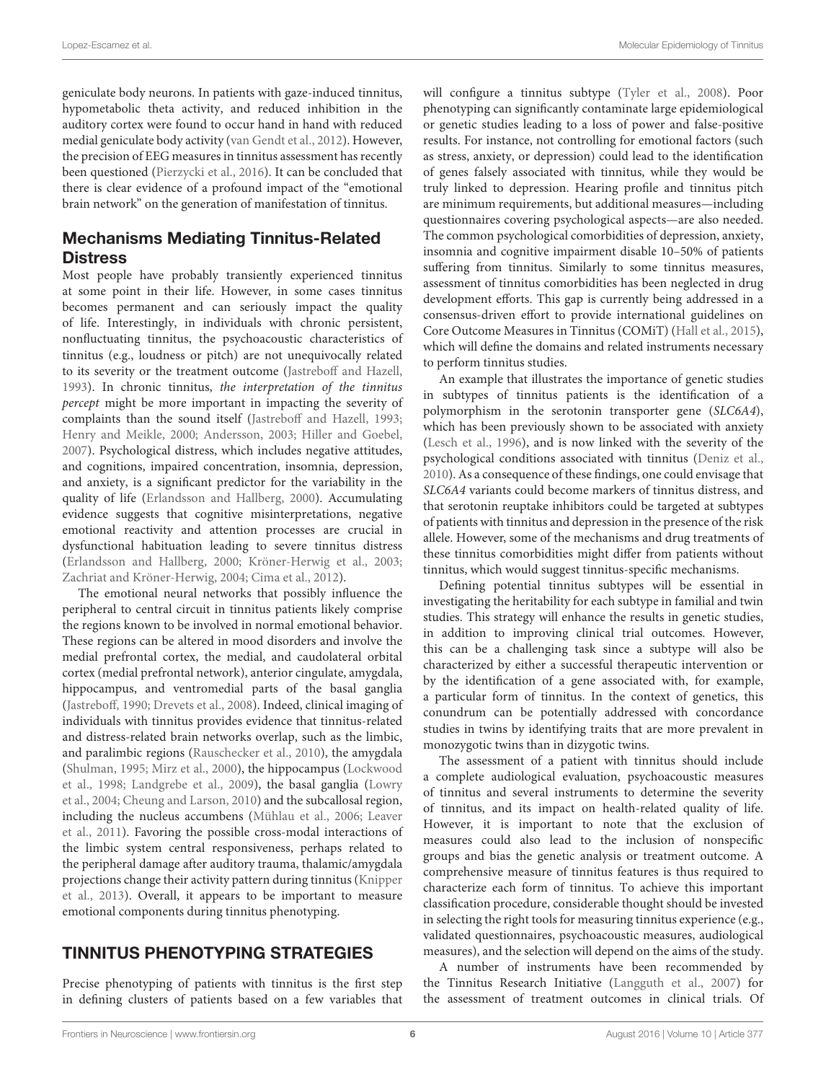geniculate body neurons. In patients with gaze-induced tinnitus, hypometabolic theta activity, and reduced inhibition in the auditory cortex were found to occur hand in hand with reduced medial geniculate body activity [\(van Gendt et al., 2012\)](#page-13-1). However, the precision of EEG measures in tinnitus assessment has recently been questioned [\(Pierzycki et al., 2016\)](#page-12-23). It can be concluded that there is clear evidence of a profound impact of the "emotional brain network" on the generation of manifestation of tinnitus.

#### Mechanisms Mediating Tinnitus-Related **Distress**

Most people have probably transiently experienced tinnitus at some point in their life. However, in some cases tinnitus becomes permanent and can seriously impact the quality of life. Interestingly, in individuals with chronic persistent, nonfluctuating tinnitus, the psychoacoustic characteristics of tinnitus (e.g., loudness or pitch) are not unequivocally related to its severity or the treatment outcome [\(Jastreboff and Hazell,](#page-11-17) [1993\)](#page-11-17). In chronic tinnitus, the interpretation of the tinnitus percept might be more important in impacting the severity of complaints than the sound itself [\(Jastreboff and Hazell, 1993;](#page-11-17) [Henry and Meikle, 2000;](#page-11-18) [Andersson, 2003;](#page-10-14) [Hiller and Goebel,](#page-11-19) [2007\)](#page-11-19). Psychological distress, which includes negative attitudes, and cognitions, impaired concentration, insomnia, depression, and anxiety, is a significant predictor for the variability in the quality of life [\(Erlandsson and Hallberg, 2000\)](#page-10-15). Accumulating evidence suggests that cognitive misinterpretations, negative emotional reactivity and attention processes are crucial in dysfunctional habituation leading to severe tinnitus distress [\(Erlandsson and Hallberg, 2000;](#page-10-15) [Kröner-Herwig et al., 2003;](#page-11-20) [Zachriat and Kröner-Herwig, 2004;](#page-13-2) [Cima et al., 2012\)](#page-10-16).

The emotional neural networks that possibly influence the peripheral to central circuit in tinnitus patients likely comprise the regions known to be involved in normal emotional behavior. These regions can be altered in mood disorders and involve the medial prefrontal cortex, the medial, and caudolateral orbital cortex (medial prefrontal network), anterior cingulate, amygdala, hippocampus, and ventromedial parts of the basal ganglia [\(Jastreboff, 1990;](#page-11-21) [Drevets et al., 2008\)](#page-10-17). Indeed, clinical imaging of individuals with tinnitus provides evidence that tinnitus-related and distress-related brain networks overlap, such as the limbic, and paralimbic regions [\(Rauschecker et al., 2010\)](#page-12-22), the amygdala [\(Shulman, 1995;](#page-12-24) [Mirz et al., 2000\)](#page-12-25), the hippocampus (Lockwood et al., [1998;](#page-11-22) [Landgrebe et al., 2009\)](#page-11-23), the basal ganglia (Lowry et al., [2004;](#page-11-24) [Cheung and Larson, 2010\)](#page-10-18) and the subcallosal region, including the nucleus accumbens [\(Mühlau et al., 2006;](#page-12-26) Leaver et al., [2011\)](#page-11-16). Favoring the possible cross-modal interactions of the limbic system central responsiveness, perhaps related to the peripheral damage after auditory trauma, thalamic/amygdala projections change their activity pattern during tinnitus (Knipper et al., [2013\)](#page-11-25). Overall, it appears to be important to measure emotional components during tinnitus phenotyping.

### TINNITUS PHENOTYPING STRATEGIES

Precise phenotyping of patients with tinnitus is the first step in defining clusters of patients based on a few variables that will configure a tinnitus subtype [\(Tyler et al., 2008\)](#page-13-3). Poor phenotyping can significantly contaminate large epidemiological or genetic studies leading to a loss of power and false-positive results. For instance, not controlling for emotional factors (such as stress, anxiety, or depression) could lead to the identification of genes falsely associated with tinnitus, while they would be truly linked to depression. Hearing profile and tinnitus pitch are minimum requirements, but additional measures—including questionnaires covering psychological aspects—are also needed. The common psychological comorbidities of depression, anxiety, insomnia and cognitive impairment disable 10–50% of patients suffering from tinnitus. Similarly to some tinnitus measures, assessment of tinnitus comorbidities has been neglected in drug development efforts. This gap is currently being addressed in a consensus-driven effort to provide international guidelines on Core Outcome Measures in Tinnitus (COMiT) [\(Hall et al., 2015\)](#page-11-26), which will define the domains and related instruments necessary to perform tinnitus studies.

An example that illustrates the importance of genetic studies in subtypes of tinnitus patients is the identification of a polymorphism in the serotonin transporter gene (SLC6A4), which has been previously shown to be associated with anxiety [\(Lesch et al., 1996\)](#page-11-27), and is now linked with the severity of the psychological conditions associated with tinnitus [\(Deniz et al.,](#page-10-6) [2010\)](#page-10-6). As a consequence of these findings, one could envisage that SLC6A4 variants could become markers of tinnitus distress, and that serotonin reuptake inhibitors could be targeted at subtypes of patients with tinnitus and depression in the presence of the risk allele. However, some of the mechanisms and drug treatments of these tinnitus comorbidities might differ from patients without tinnitus, which would suggest tinnitus-specific mechanisms.

Defining potential tinnitus subtypes will be essential in investigating the heritability for each subtype in familial and twin studies. This strategy will enhance the results in genetic studies, in addition to improving clinical trial outcomes. However, this can be a challenging task since a subtype will also be characterized by either a successful therapeutic intervention or by the identification of a gene associated with, for example, a particular form of tinnitus. In the context of genetics, this conundrum can be potentially addressed with concordance studies in twins by identifying traits that are more prevalent in monozygotic twins than in dizygotic twins.

The assessment of a patient with tinnitus should include a complete audiological evaluation, psychoacoustic measures of tinnitus and several instruments to determine the severity of tinnitus, and its impact on health-related quality of life. However, it is important to note that the exclusion of measures could also lead to the inclusion of nonspecific groups and bias the genetic analysis or treatment outcome. A comprehensive measure of tinnitus features is thus required to characterize each form of tinnitus. To achieve this important classification procedure, considerable thought should be invested in selecting the right tools for measuring tinnitus experience (e.g., validated questionnaires, psychoacoustic measures, audiological measures), and the selection will depend on the aims of the study.

A number of instruments have been recommended by the Tinnitus Research Initiative [\(Langguth et al., 2007\)](#page-11-28) for the assessment of treatment outcomes in clinical trials. Of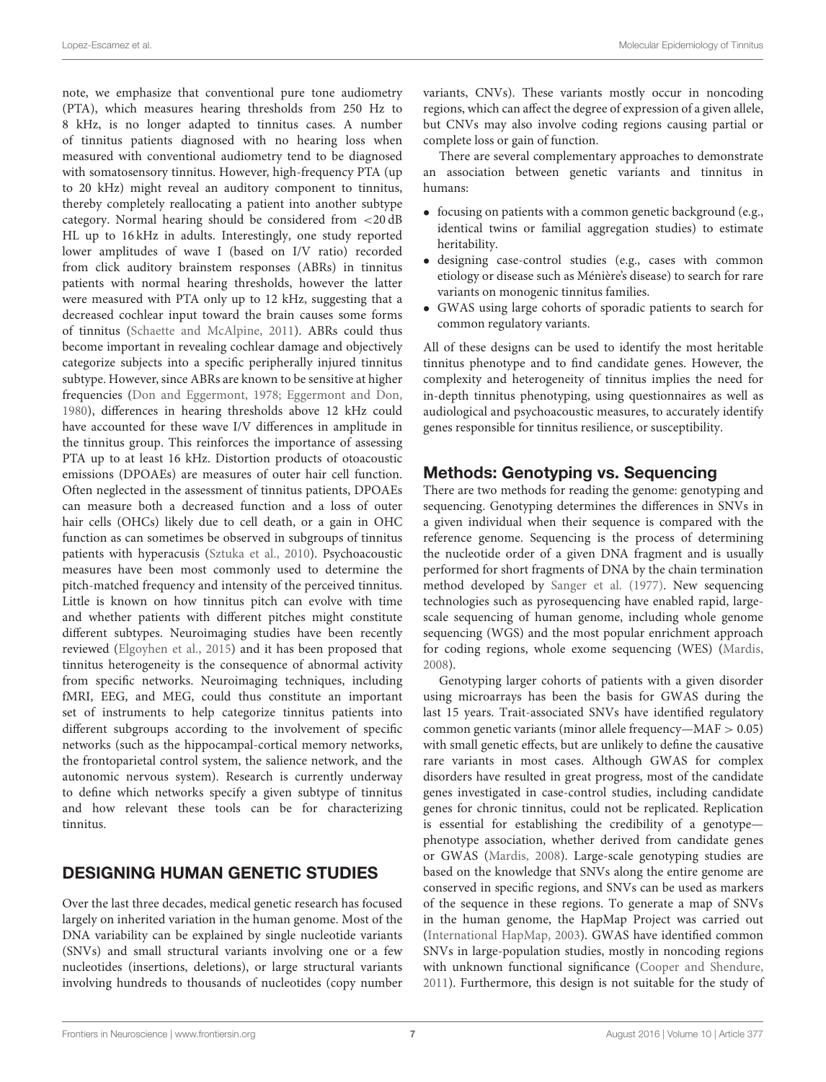note, we emphasize that conventional pure tone audiometry (PTA), which measures hearing thresholds from 250 Hz to 8 kHz, is no longer adapted to tinnitus cases. A number of tinnitus patients diagnosed with no hearing loss when measured with conventional audiometry tend to be diagnosed with somatosensory tinnitus. However, high-frequency PTA (up to 20 kHz) might reveal an auditory component to tinnitus, thereby completely reallocating a patient into another subtype category. Normal hearing should be considered from <20 dB HL up to 16 kHz in adults. Interestingly, one study reported lower amplitudes of wave I (based on I/V ratio) recorded from click auditory brainstem responses (ABRs) in tinnitus patients with normal hearing thresholds, however the latter were measured with PTA only up to 12 kHz, suggesting that a decreased cochlear input toward the brain causes some forms of tinnitus [\(Schaette and McAlpine, 2011\)](#page-12-21). ABRs could thus become important in revealing cochlear damage and objectively categorize subjects into a specific peripherally injured tinnitus subtype. However, since ABRs are known to be sensitive at higher frequencies [\(Don and Eggermont, 1978;](#page-10-19) [Eggermont and Don,](#page-10-20) [1980\)](#page-10-20), differences in hearing thresholds above 12 kHz could have accounted for these wave I/V differences in amplitude in the tinnitus group. This reinforces the importance of assessing PTA up to at least 16 kHz. Distortion products of otoacoustic emissions (DPOAEs) are measures of outer hair cell function. Often neglected in the assessment of tinnitus patients, DPOAEs can measure both a decreased function and a loss of outer hair cells (OHCs) likely due to cell death, or a gain in OHC function as can sometimes be observed in subgroups of tinnitus patients with hyperacusis [\(Sztuka et al., 2010\)](#page-13-4). Psychoacoustic measures have been most commonly used to determine the pitch-matched frequency and intensity of the perceived tinnitus. Little is known on how tinnitus pitch can evolve with time and whether patients with different pitches might constitute different subtypes. Neuroimaging studies have been recently reviewed [\(Elgoyhen et al., 2015\)](#page-10-13) and it has been proposed that tinnitus heterogeneity is the consequence of abnormal activity from specific networks. Neuroimaging techniques, including fMRI, EEG, and MEG, could thus constitute an important set of instruments to help categorize tinnitus patients into different subgroups according to the involvement of specific networks (such as the hippocampal-cortical memory networks, the frontoparietal control system, the salience network, and the autonomic nervous system). Research is currently underway to define which networks specify a given subtype of tinnitus and how relevant these tools can be for characterizing tinnitus.

### DESIGNING HUMAN GENETIC STUDIES

Over the last three decades, medical genetic research has focused largely on inherited variation in the human genome. Most of the DNA variability can be explained by single nucleotide variants (SNVs) and small structural variants involving one or a few nucleotides (insertions, deletions), or large structural variants involving hundreds to thousands of nucleotides (copy number variants, CNVs). These variants mostly occur in noncoding regions, which can affect the degree of expression of a given allele, but CNVs may also involve coding regions causing partial or complete loss or gain of function.

There are several complementary approaches to demonstrate an association between genetic variants and tinnitus in humans:

- focusing on patients with a common genetic background (e.g., identical twins or familial aggregation studies) to estimate heritability.
- designing case-control studies (e.g., cases with common etiology or disease such as Ménière's disease) to search for rare variants on monogenic tinnitus families.
- GWAS using large cohorts of sporadic patients to search for common regulatory variants.

All of these designs can be used to identify the most heritable tinnitus phenotype and to find candidate genes. However, the complexity and heterogeneity of tinnitus implies the need for in-depth tinnitus phenotyping, using questionnaires as well as audiological and psychoacoustic measures, to accurately identify genes responsible for tinnitus resilience, or susceptibility.

### Methods: Genotyping vs. Sequencing

There are two methods for reading the genome: genotyping and sequencing. Genotyping determines the differences in SNVs in a given individual when their sequence is compared with the reference genome. Sequencing is the process of determining the nucleotide order of a given DNA fragment and is usually performed for short fragments of DNA by the chain termination method developed by [Sanger et al. \(1977\)](#page-12-27). New sequencing technologies such as pyrosequencing have enabled rapid, largescale sequencing of human genome, including whole genome sequencing (WGS) and the most popular enrichment approach for coding regions, whole exome sequencing (WES) [\(Mardis,](#page-12-28) [2008\)](#page-12-28).

Genotyping larger cohorts of patients with a given disorder using microarrays has been the basis for GWAS during the last 15 years. Trait-associated SNVs have identified regulatory common genetic variants (minor allele frequency—MAF > 0.05) with small genetic effects, but are unlikely to define the causative rare variants in most cases. Although GWAS for complex disorders have resulted in great progress, most of the candidate genes investigated in case-control studies, including candidate genes for chronic tinnitus, could not be replicated. Replication is essential for establishing the credibility of a genotype phenotype association, whether derived from candidate genes or GWAS [\(Mardis, 2008\)](#page-12-28). Large-scale genotyping studies are based on the knowledge that SNVs along the entire genome are conserved in specific regions, and SNVs can be used as markers of the sequence in these regions. To generate a map of SNVs in the human genome, the HapMap Project was carried out [\(International HapMap, 2003\)](#page-11-29). GWAS have identified common SNVs in large-population studies, mostly in noncoding regions with unknown functional significance [\(Cooper and Shendure,](#page-10-21) [2011\)](#page-10-21). Furthermore, this design is not suitable for the study of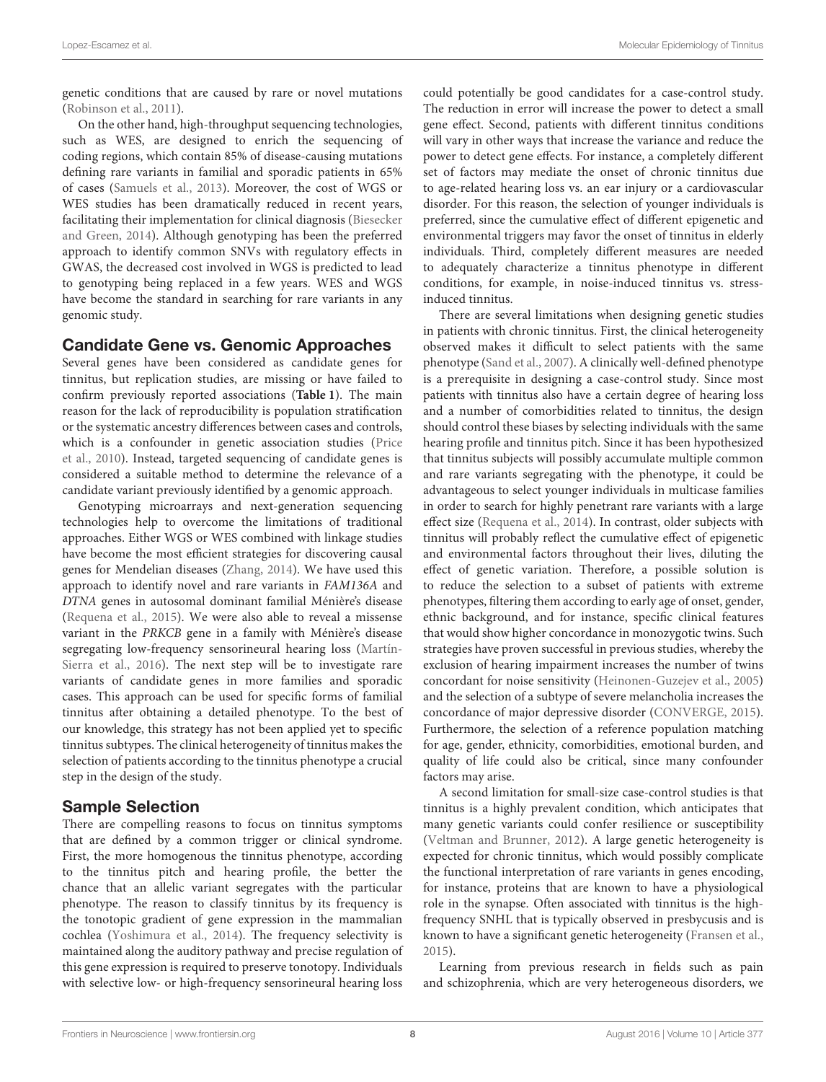genetic conditions that are caused by rare or novel mutations [\(Robinson et al., 2011\)](#page-12-29).

On the other hand, high-throughput sequencing technologies, such as WES, are designed to enrich the sequencing of coding regions, which contain 85% of disease-causing mutations defining rare variants in familial and sporadic patients in 65% of cases [\(Samuels et al., 2013\)](#page-12-30). Moreover, the cost of WGS or WES studies has been dramatically reduced in recent years, facilitating their implementation for clinical diagnosis (Biesecker and Green, [2014\)](#page-10-22). Although genotyping has been the preferred approach to identify common SNVs with regulatory effects in GWAS, the decreased cost involved in WGS is predicted to lead to genotyping being replaced in a few years. WES and WGS have become the standard in searching for rare variants in any genomic study.

#### Candidate Gene vs. Genomic Approaches

Several genes have been considered as candidate genes for tinnitus, but replication studies, are missing or have failed to confirm previously reported associations (**[Table 1](#page-3-0)**). The main reason for the lack of reproducibility is population stratification or the systematic ancestry differences between cases and controls, which is a confounder in genetic association studies (Price et al., [2010\)](#page-12-31). Instead, targeted sequencing of candidate genes is considered a suitable method to determine the relevance of a candidate variant previously identified by a genomic approach.

Genotyping microarrays and next-generation sequencing technologies help to overcome the limitations of traditional approaches. Either WGS or WES combined with linkage studies have become the most efficient strategies for discovering causal genes for Mendelian diseases [\(Zhang, 2014\)](#page-13-5). We have used this approach to identify novel and rare variants in FAM136A and DTNA genes in autosomal dominant familial Ménière's disease [\(Requena et al., 2015\)](#page-12-32). We were also able to reveal a missense variant in the PRKCB gene in a family with Ménière's disease segregating low-frequency sensorineural hearing loss (Martín-Sierra et al., [2016\)](#page-12-33). The next step will be to investigate rare variants of candidate genes in more families and sporadic cases. This approach can be used for specific forms of familial tinnitus after obtaining a detailed phenotype. To the best of our knowledge, this strategy has not been applied yet to specific tinnitus subtypes. The clinical heterogeneity of tinnitus makes the selection of patients according to the tinnitus phenotype a crucial step in the design of the study.

#### Sample Selection

There are compelling reasons to focus on tinnitus symptoms that are defined by a common trigger or clinical syndrome. First, the more homogenous the tinnitus phenotype, according to the tinnitus pitch and hearing profile, the better the chance that an allelic variant segregates with the particular phenotype. The reason to classify tinnitus by its frequency is the tonotopic gradient of gene expression in the mammalian cochlea [\(Yoshimura et al., 2014\)](#page-13-6). The frequency selectivity is maintained along the auditory pathway and precise regulation of this gene expression is required to preserve tonotopy. Individuals with selective low- or high-frequency sensorineural hearing loss could potentially be good candidates for a case-control study. The reduction in error will increase the power to detect a small gene effect. Second, patients with different tinnitus conditions will vary in other ways that increase the variance and reduce the power to detect gene effects. For instance, a completely different set of factors may mediate the onset of chronic tinnitus due to age-related hearing loss vs. an ear injury or a cardiovascular disorder. For this reason, the selection of younger individuals is preferred, since the cumulative effect of different epigenetic and environmental triggers may favor the onset of tinnitus in elderly individuals. Third, completely different measures are needed to adequately characterize a tinnitus phenotype in different conditions, for example, in noise-induced tinnitus vs. stressinduced tinnitus.

There are several limitations when designing genetic studies in patients with chronic tinnitus. First, the clinical heterogeneity observed makes it difficult to select patients with the same phenotype [\(Sand et al., 2007\)](#page-12-34). A clinically well-defined phenotype is a prerequisite in designing a case-control study. Since most patients with tinnitus also have a certain degree of hearing loss and a number of comorbidities related to tinnitus, the design should control these biases by selecting individuals with the same hearing profile and tinnitus pitch. Since it has been hypothesized that tinnitus subjects will possibly accumulate multiple common and rare variants segregating with the phenotype, it could be advantageous to select younger individuals in multicase families in order to search for highly penetrant rare variants with a large effect size [\(Requena et al., 2014\)](#page-12-35). In contrast, older subjects with tinnitus will probably reflect the cumulative effect of epigenetic and environmental factors throughout their lives, diluting the effect of genetic variation. Therefore, a possible solution is to reduce the selection to a subset of patients with extreme phenotypes, filtering them according to early age of onset, gender, ethnic background, and for instance, specific clinical features that would show higher concordance in monozygotic twins. Such strategies have proven successful in previous studies, whereby the exclusion of hearing impairment increases the number of twins concordant for noise sensitivity [\(Heinonen-Guzejev et al., 2005\)](#page-11-30) and the selection of a subtype of severe melancholia increases the concordance of major depressive disorder [\(CONVERGE, 2015\)](#page-10-8). Furthermore, the selection of a reference population matching for age, gender, ethnicity, comorbidities, emotional burden, and quality of life could also be critical, since many confounder factors may arise.

A second limitation for small-size case-control studies is that tinnitus is a highly prevalent condition, which anticipates that many genetic variants could confer resilience or susceptibility [\(Veltman and Brunner, 2012\)](#page-13-7). A large genetic heterogeneity is expected for chronic tinnitus, which would possibly complicate the functional interpretation of rare variants in genes encoding, for instance, proteins that are known to have a physiological role in the synapse. Often associated with tinnitus is the highfrequency SNHL that is typically observed in presbycusis and is known to have a significant genetic heterogeneity [\(Fransen et al.,](#page-11-31) [2015\)](#page-11-31).

Learning from previous research in fields such as pain and schizophrenia, which are very heterogeneous disorders, we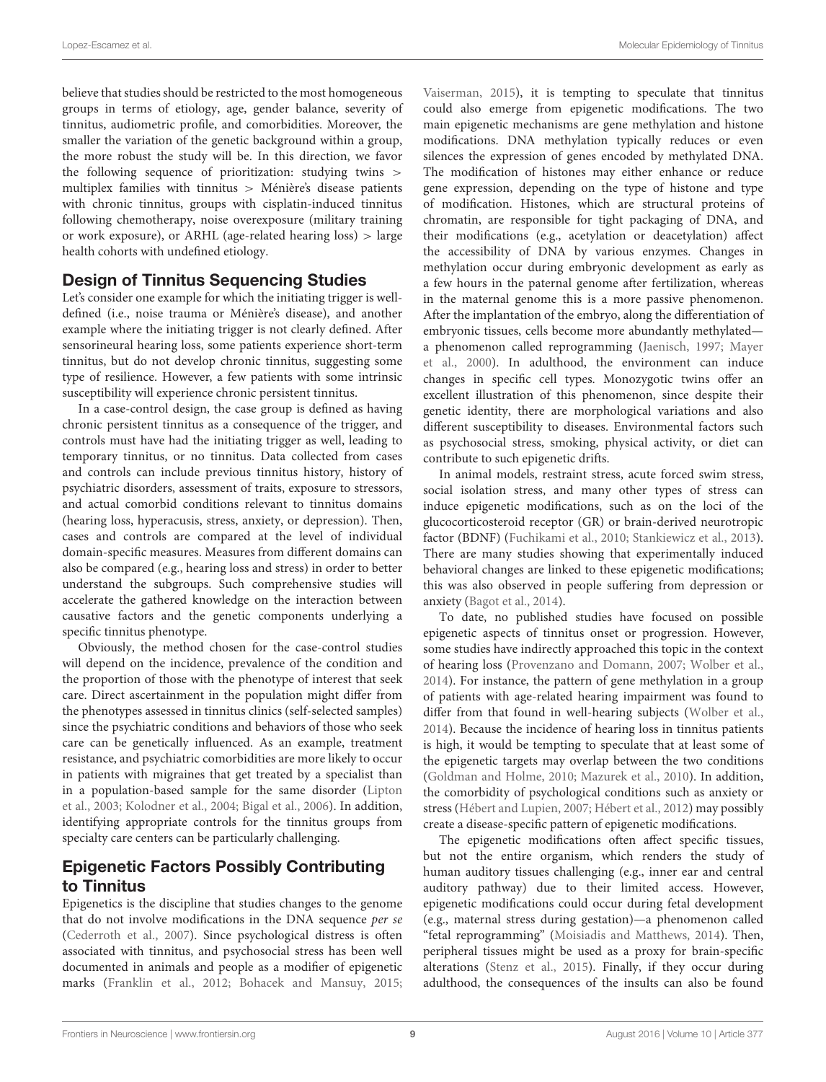believe that studies should be restricted to the most homogeneous groups in terms of etiology, age, gender balance, severity of tinnitus, audiometric profile, and comorbidities. Moreover, the smaller the variation of the genetic background within a group, the more robust the study will be. In this direction, we favor the following sequence of prioritization: studying twins > multiplex families with tinnitus > Ménière's disease patients with chronic tinnitus, groups with cisplatin-induced tinnitus following chemotherapy, noise overexposure (military training or work exposure), or ARHL (age-related hearing loss) > large health cohorts with undefined etiology.

#### Design of Tinnitus Sequencing Studies

Let's consider one example for which the initiating trigger is welldefined (i.e., noise trauma or Ménière's disease), and another example where the initiating trigger is not clearly defined. After sensorineural hearing loss, some patients experience short-term tinnitus, but do not develop chronic tinnitus, suggesting some type of resilience. However, a few patients with some intrinsic susceptibility will experience chronic persistent tinnitus.

In a case-control design, the case group is defined as having chronic persistent tinnitus as a consequence of the trigger, and controls must have had the initiating trigger as well, leading to temporary tinnitus, or no tinnitus. Data collected from cases and controls can include previous tinnitus history, history of psychiatric disorders, assessment of traits, exposure to stressors, and actual comorbid conditions relevant to tinnitus domains (hearing loss, hyperacusis, stress, anxiety, or depression). Then, cases and controls are compared at the level of individual domain-specific measures. Measures from different domains can also be compared (e.g., hearing loss and stress) in order to better understand the subgroups. Such comprehensive studies will accelerate the gathered knowledge on the interaction between causative factors and the genetic components underlying a specific tinnitus phenotype.

Obviously, the method chosen for the case-control studies will depend on the incidence, prevalence of the condition and the proportion of those with the phenotype of interest that seek care. Direct ascertainment in the population might differ from the phenotypes assessed in tinnitus clinics (self-selected samples) since the psychiatric conditions and behaviors of those who seek care can be genetically influenced. As an example, treatment resistance, and psychiatric comorbidities are more likely to occur in patients with migraines that get treated by a specialist than in a population-based sample for the same disorder (Lipton et al., [2003;](#page-11-32) [Kolodner et al., 2004;](#page-11-33) [Bigal et al., 2006\)](#page-10-23). In addition, identifying appropriate controls for the tinnitus groups from specialty care centers can be particularly challenging.

### Epigenetic Factors Possibly Contributing to Tinnitus

Epigenetics is the discipline that studies changes to the genome that do not involve modifications in the DNA sequence per se [\(Cederroth et al., 2007\)](#page-10-24). Since psychological distress is often associated with tinnitus, and psychosocial stress has been well documented in animals and people as a modifier of epigenetic marks [\(Franklin et al., 2012;](#page-11-34) [Bohacek and Mansuy, 2015;](#page-10-25) [Vaiserman, 2015\)](#page-13-8), it is tempting to speculate that tinnitus could also emerge from epigenetic modifications. The two main epigenetic mechanisms are gene methylation and histone modifications. DNA methylation typically reduces or even silences the expression of genes encoded by methylated DNA. The modification of histones may either enhance or reduce gene expression, depending on the type of histone and type of modification. Histones, which are structural proteins of chromatin, are responsible for tight packaging of DNA, and their modifications (e.g., acetylation or deacetylation) affect the accessibility of DNA by various enzymes. Changes in methylation occur during embryonic development as early as a few hours in the paternal genome after fertilization, whereas in the maternal genome this is a more passive phenomenon. After the implantation of the embryo, along the differentiation of embryonic tissues, cells become more abundantly methylated a phenomenon called reprogramming [\(Jaenisch, 1997;](#page-11-35) Mayer et al., [2000\)](#page-12-36). In adulthood, the environment can induce changes in specific cell types. Monozygotic twins offer an excellent illustration of this phenomenon, since despite their genetic identity, there are morphological variations and also different susceptibility to diseases. Environmental factors such as psychosocial stress, smoking, physical activity, or diet can contribute to such epigenetic drifts.

In animal models, restraint stress, acute forced swim stress, social isolation stress, and many other types of stress can induce epigenetic modifications, such as on the loci of the glucocorticosteroid receptor (GR) or brain-derived neurotropic factor (BDNF) [\(Fuchikami et al., 2010;](#page-11-36) [Stankiewicz et al., 2013\)](#page-12-37). There are many studies showing that experimentally induced behavioral changes are linked to these epigenetic modifications; this was also observed in people suffering from depression or anxiety [\(Bagot et al., 2014\)](#page-10-26).

To date, no published studies have focused on possible epigenetic aspects of tinnitus onset or progression. However, some studies have indirectly approached this topic in the context of hearing loss [\(Provenzano and Domann, 2007;](#page-12-38) [Wolber et al.,](#page-13-9) [2014\)](#page-13-9). For instance, the pattern of gene methylation in a group of patients with age-related hearing impairment was found to differ from that found in well-hearing subjects [\(Wolber et al.,](#page-13-9) [2014\)](#page-13-9). Because the incidence of hearing loss in tinnitus patients is high, it would be tempting to speculate that at least some of the epigenetic targets may overlap between the two conditions [\(Goldman and Holme, 2010;](#page-11-37) [Mazurek et al., 2010\)](#page-12-39). In addition, the comorbidity of psychological conditions such as anxiety or stress [\(Hébert and Lupien, 2007;](#page-11-38) [Hébert et al., 2012\)](#page-11-39) may possibly create a disease-specific pattern of epigenetic modifications.

The epigenetic modifications often affect specific tissues, but not the entire organism, which renders the study of human auditory tissues challenging (e.g., inner ear and central auditory pathway) due to their limited access. However, epigenetic modifications could occur during fetal development (e.g., maternal stress during gestation)—a phenomenon called "fetal reprogramming" [\(Moisiadis and Matthews, 2014\)](#page-12-40). Then, peripheral tissues might be used as a proxy for brain-specific alterations [\(Stenz et al., 2015\)](#page-13-10). Finally, if they occur during adulthood, the consequences of the insults can also be found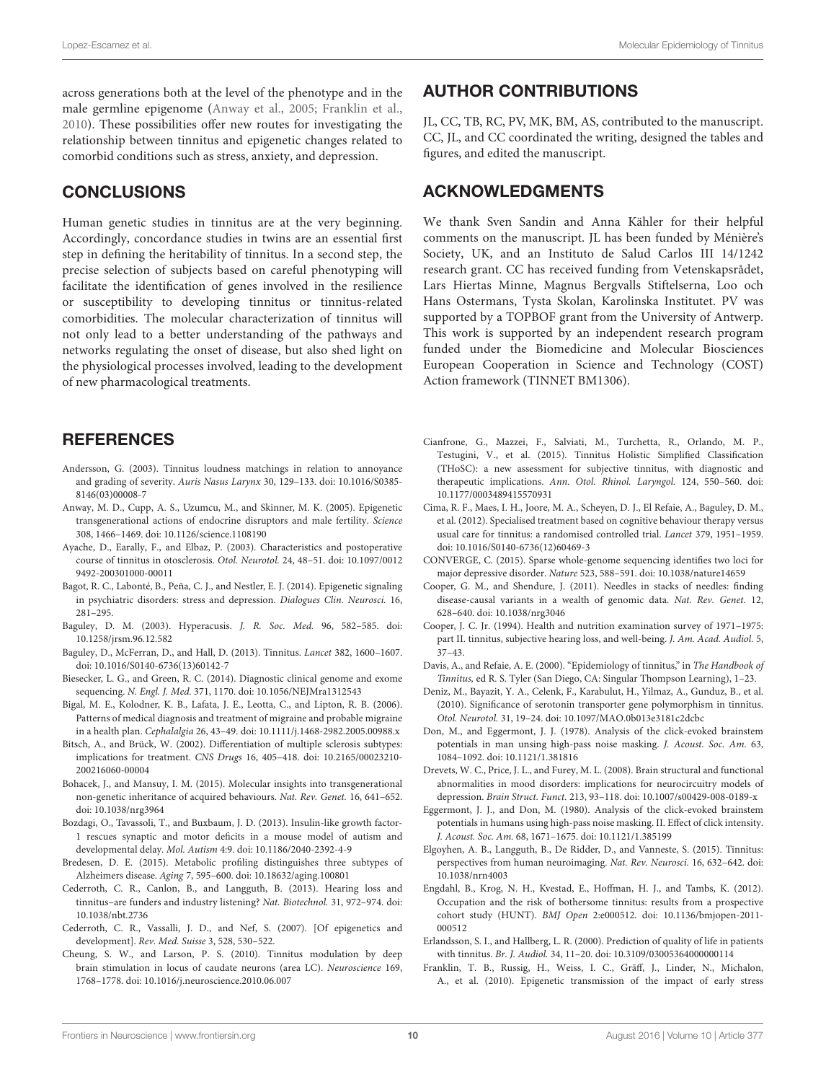across generations both at the level of the phenotype and in the male germline epigenome [\(Anway et al., 2005;](#page-10-27) [Franklin et al.,](#page-10-28) [2010\)](#page-10-28). These possibilities offer new routes for investigating the relationship between tinnitus and epigenetic changes related to comorbid conditions such as stress, anxiety, and depression.

### **CONCLUSIONS**

Human genetic studies in tinnitus are at the very beginning. Accordingly, concordance studies in twins are an essential first step in defining the heritability of tinnitus. In a second step, the precise selection of subjects based on careful phenotyping will facilitate the identification of genes involved in the resilience or susceptibility to developing tinnitus or tinnitus-related comorbidities. The molecular characterization of tinnitus will not only lead to a better understanding of the pathways and networks regulating the onset of disease, but also shed light on the physiological processes involved, leading to the development of new pharmacological treatments.

#### **REFERENCES**

- <span id="page-10-14"></span>Andersson, G. (2003). Tinnitus loudness matchings in relation to annoyance and grading of severity. Auris Nasus Larynx 30, 129–133. doi: 10.1016/S0385- 8146(03)00008-7
- <span id="page-10-27"></span>Anway, M. D., Cupp, A. S., Uzumcu, M., and Skinner, M. K. (2005). Epigenetic transgenerational actions of endocrine disruptors and male fertility. Science 308, 1466–1469. doi: 10.1126/science.1108190
- <span id="page-10-12"></span>Ayache, D., Earally, F., and Elbaz, P. (2003). Characteristics and postoperative course of tinnitus in otosclerosis. Otol. Neurotol. 24, 48–51. doi: 10.1097/0012 9492-200301000-00011
- <span id="page-10-26"></span>Bagot, R. C., Labonté, B., Peña, C. J., and Nestler, E. J. (2014). Epigenetic signaling in psychiatric disorders: stress and depression. Dialogues Clin. Neurosci. 16, 281–295.
- <span id="page-10-2"></span>Baguley, D. M. (2003). Hyperacusis. J. R. Soc. Med. 96, 582–585. doi: 10.1258/jrsm.96.12.582
- <span id="page-10-1"></span>Baguley, D., McFerran, D., and Hall, D. (2013). Tinnitus. Lancet 382, 1600–1607. doi: 10.1016/S0140-6736(13)60142-7
- <span id="page-10-22"></span>Biesecker, L. G., and Green, R. C. (2014). Diagnostic clinical genome and exome sequencing. N. Engl. J. Med. 371, 1170. doi: 10.1056/NEJMra1312543
- <span id="page-10-23"></span>Bigal, M. E., Kolodner, K. B., Lafata, J. E., Leotta, C., and Lipton, R. B. (2006). Patterns of medical diagnosis and treatment of migraine and probable migraine in a health plan. Cephalalgia 26, 43–49. doi: 10.1111/j.1468-2982.2005.00988.x
- <span id="page-10-10"></span>Bitsch, A., and Brück, W. (2002). Differentiation of multiple sclerosis subtypes: implications for treatment. CNS Drugs 16, 405–418. doi: 10.2165/00023210- 200216060-00004
- <span id="page-10-25"></span>Bohacek, J., and Mansuy, I. M. (2015). Molecular insights into transgenerational non-genetic inheritance of acquired behaviours. Nat. Rev. Genet. 16, 641–652. doi: 10.1038/nrg3964
- <span id="page-10-9"></span>Bozdagi, O., Tavassoli, T., and Buxbaum, J. D. (2013). Insulin-like growth factor-1 rescues synaptic and motor deficits in a mouse model of autism and developmental delay. Mol. Autism 4:9. doi: 10.1186/2040-2392-4-9
- <span id="page-10-11"></span>Bredesen, D. E. (2015). Metabolic profiling distinguishes three subtypes of Alzheimers disease. Aging 7, 595–600. doi: 10.18632/aging.100801
- <span id="page-10-3"></span>Cederroth, C. R., Canlon, B., and Langguth, B. (2013). Hearing loss and tinnitus–are funders and industry listening? Nat. Biotechnol. 31, 972–974. doi: 10.1038/nbt.2736
- <span id="page-10-24"></span>Cederroth, C. R., Vassalli, J. D., and Nef, S. (2007). [Of epigenetics and development]. Rev. Med. Suisse 3, 528, 530–522.
- <span id="page-10-18"></span>Cheung, S. W., and Larson, P. S. (2010). Tinnitus modulation by deep brain stimulation in locus of caudate neurons (area LC). Neuroscience 169, 1768–1778. doi: 10.1016/j.neuroscience.2010.06.007

#### AUTHOR CONTRIBUTIONS

JL, CC, TB, RC, PV, MK, BM, AS, contributed to the manuscript. CC, JL, and CC coordinated the writing, designed the tables and figures, and edited the manuscript.

### ACKNOWLEDGMENTS

We thank Sven Sandin and Anna Kähler for their helpful comments on the manuscript. JL has been funded by Ménière's Society, UK, and an Instituto de Salud Carlos III 14/1242 research grant. CC has received funding from Vetenskapsrådet, Lars Hiertas Minne, Magnus Bergvalls Stiftelserna, Loo och Hans Ostermans, Tysta Skolan, Karolinska Institutet. PV was supported by a TOPBOF grant from the University of Antwerp. This work is supported by an independent research program funded under the Biomedicine and Molecular Biosciences European Cooperation in Science and Technology (COST) Action framework (TINNET BM1306).

- <span id="page-10-7"></span>Cianfrone, G., Mazzei, F., Salviati, M., Turchetta, R., Orlando, M. P., Testugini, V., et al. (2015). Tinnitus Holistic Simplified Classification (THoSC): a new assessment for subjective tinnitus, with diagnostic and therapeutic implications. Ann. Otol. Rhinol. Laryngol. 124, 550–560. doi: 10.1177/0003489415570931
- <span id="page-10-16"></span>Cima, R. F., Maes, I. H., Joore, M. A., Scheyen, D. J., El Refaie, A., Baguley, D. M., et al. (2012). Specialised treatment based on cognitive behaviour therapy versus usual care for tinnitus: a randomised controlled trial. Lancet 379, 1951–1959. doi: 10.1016/S0140-6736(12)60469-3
- <span id="page-10-8"></span>CONVERGE, C. (2015). Sparse whole-genome sequencing identifies two loci for major depressive disorder. Nature 523, 588–591. doi: 10.1038/nature14659
- <span id="page-10-21"></span>Cooper, G. M., and Shendure, J. (2011). Needles in stacks of needles: finding disease-causal variants in a wealth of genomic data. Nat. Rev. Genet. 12, 628–640. doi: 10.1038/nrg3046
- <span id="page-10-4"></span>Cooper, J. C. Jr. (1994). Health and nutrition examination survey of 1971–1975: part II. tinnitus, subjective hearing loss, and well-being. J. Am. Acad. Audiol. 5, 37–43.
- <span id="page-10-0"></span>Davis, A., and Refaie, A. E. (2000). "Epidemiology of tinnitus," in The Handbook of Tinnitus, ed R. S. Tyler (San Diego, CA: Singular Thompson Learning), 1–23.
- <span id="page-10-6"></span>Deniz, M., Bayazit, Y. A., Celenk, F., Karabulut, H., Yilmaz, A., Gunduz, B., et al. (2010). Significance of serotonin transporter gene polymorphism in tinnitus. Otol. Neurotol. 31, 19–24. doi: 10.1097/MAO.0b013e3181c2dcbc
- <span id="page-10-19"></span>Don, M., and Eggermont, J. J. (1978). Analysis of the click-evoked brainstem potentials in man unsing high-pass noise masking. J. Acoust. Soc. Am. 63, 1084–1092. doi: 10.1121/1.381816
- <span id="page-10-17"></span>Drevets, W. C., Price, J. L., and Furey, M. L. (2008). Brain structural and functional abnormalities in mood disorders: implications for neurocircuitry models of depression. Brain Struct. Funct. 213, 93–118. doi: 10.1007/s00429-008-0189-x
- <span id="page-10-20"></span>Eggermont, J. J., and Don, M. (1980). Analysis of the click-evoked brainstem potentials in humans using high-pass noise masking. II. Effect of click intensity. J. Acoust. Soc. Am. 68, 1671–1675. doi: 10.1121/1.385199
- <span id="page-10-13"></span>Elgoyhen, A. B., Langguth, B., De Ridder, D., and Vanneste, S. (2015). Tinnitus: perspectives from human neuroimaging. Nat. Rev. Neurosci. 16, 632–642. doi: 10.1038/nrn4003
- <span id="page-10-5"></span>Engdahl, B., Krog, N. H., Kvestad, E., Hoffman, H. J., and Tambs, K. (2012). Occupation and the risk of bothersome tinnitus: results from a prospective cohort study (HUNT). BMJ Open 2:e000512. doi: 10.1136/bmjopen-2011- 000512
- <span id="page-10-15"></span>Erlandsson, S. I., and Hallberg, L. R. (2000). Prediction of quality of life in patients with tinnitus. Br. J. Audiol. 34, 11–20. doi: 10.3109/03005364000000114
- <span id="page-10-28"></span>Franklin, T. B., Russig, H., Weiss, I. C., Gräff, J., Linder, N., Michalon, A., et al. (2010). Epigenetic transmission of the impact of early stress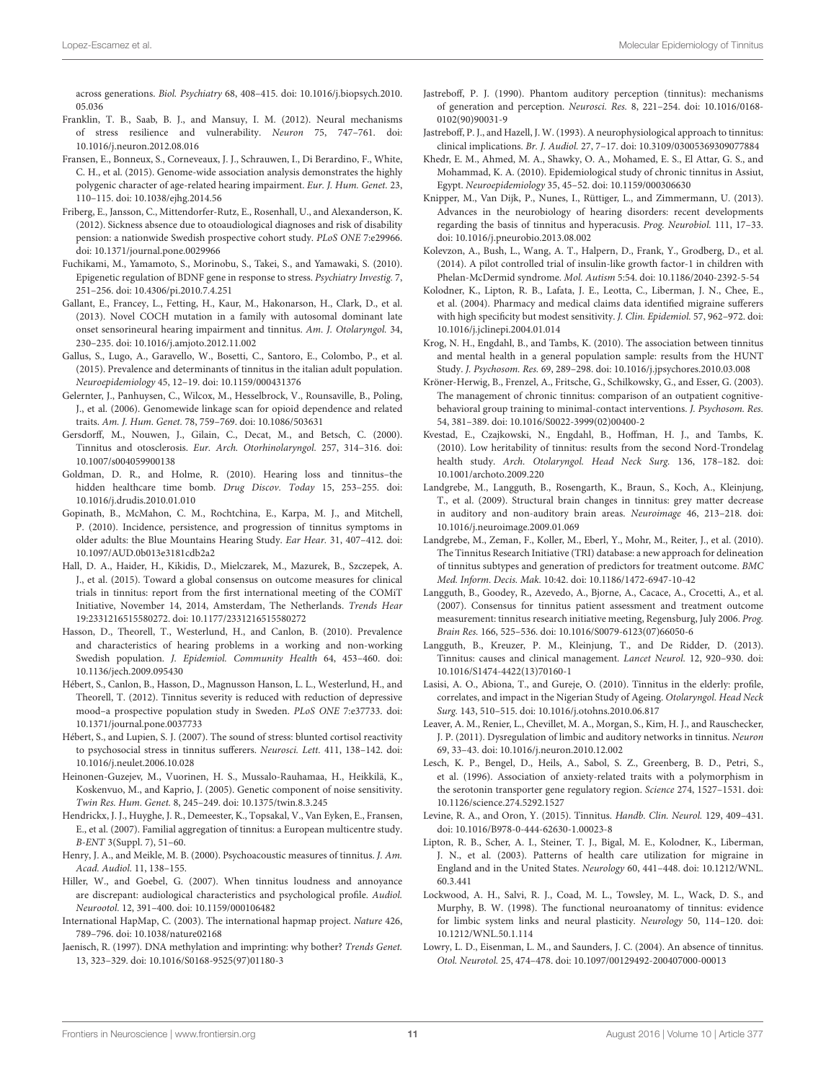across generations. Biol. Psychiatry 68, 408–415. doi: 10.1016/j.biopsych.2010. 05.036

- <span id="page-11-34"></span>Franklin, T. B., Saab, B. J., and Mansuy, I. M. (2012). Neural mechanisms of stress resilience and vulnerability. Neuron 75, 747–761. doi: 10.1016/j.neuron.2012.08.016
- <span id="page-11-31"></span>Fransen, E., Bonneux, S., Corneveaux, J. J., Schrauwen, I., Di Berardino, F., White, C. H., et al. (2015). Genome-wide association analysis demonstrates the highly polygenic character of age-related hearing impairment. Eur. J. Hum. Genet. 23, 110–115. doi: 10.1038/ejhg.2014.56
- <span id="page-11-0"></span>Friberg, E., Jansson, C., Mittendorfer-Rutz, E., Rosenhall, U., and Alexanderson, K. (2012). Sickness absence due to otoaudiological diagnoses and risk of disability pension: a nationwide Swedish prospective cohort study. PLoS ONE 7:e29966. doi: 10.1371/journal.pone.0029966
- <span id="page-11-36"></span>Fuchikami, M., Yamamoto, S., Morinobu, S., Takei, S., and Yamawaki, S. (2010). Epigenetic regulation of BDNF gene in response to stress. Psychiatry Investig. 7, 251–256. doi: 10.4306/pi.2010.7.4.251
- <span id="page-11-7"></span>Gallant, E., Francey, L., Fetting, H., Kaur, M., Hakonarson, H., Clark, D., et al. (2013). Novel COCH mutation in a family with autosomal dominant late onset sensorineural hearing impairment and tinnitus. Am. J. Otolaryngol. 34, 230–235. doi: 10.1016/j.amjoto.2012.11.002
- <span id="page-11-3"></span>Gallus, S., Lugo, A., Garavello, W., Bosetti, C., Santoro, E., Colombo, P., et al. (2015). Prevalence and determinants of tinnitus in the italian adult population. Neuroepidemiology 45, 12–19. doi: 10.1159/000431376
- <span id="page-11-12"></span>Gelernter, J., Panhuysen, C., Wilcox, M., Hesselbrock, V., Rounsaville, B., Poling, J., et al. (2006). Genomewide linkage scan for opioid dependence and related traits. Am. J. Hum. Genet. 78, 759–769. doi: 10.1086/503631
- <span id="page-11-15"></span>Gersdorff, M., Nouwen, J., Gilain, C., Decat, M., and Betsch, C. (2000). Tinnitus and otosclerosis. Eur. Arch. Otorhinolaryngol. 257, 314–316. doi: 10.1007/s004059900138
- <span id="page-11-37"></span>Goldman, D. R., and Holme, R. (2010). Hearing loss and tinnitus–the hidden healthcare time bomb. Drug Discov. Today 15, 253–255. doi: 10.1016/j.drudis.2010.01.010
- <span id="page-11-4"></span>Gopinath, B., McMahon, C. M., Rochtchina, E., Karpa, M. J., and Mitchell, P. (2010). Incidence, persistence, and progression of tinnitus symptoms in older adults: the Blue Mountains Hearing Study. Ear Hear. 31, 407–412. doi: 10.1097/AUD.0b013e3181cdb2a2
- <span id="page-11-26"></span>Hall, D. A., Haider, H., Kikidis, D., Mielczarek, M., Mazurek, B., Szczepek, A. J., et al. (2015). Toward a global consensus on outcome measures for clinical trials in tinnitus: report from the first international meeting of the COMiT Initiative, November 14, 2014, Amsterdam, The Netherlands. Trends Hear 19:2331216515580272. doi: 10.1177/2331216515580272
- <span id="page-11-1"></span>Hasson, D., Theorell, T., Westerlund, H., and Canlon, B. (2010). Prevalence and characteristics of hearing problems in a working and non-working Swedish population. J. Epidemiol. Community Health 64, 453–460. doi: 10.1136/jech.2009.095430
- <span id="page-11-39"></span>Hébert, S., Canlon, B., Hasson, D., Magnusson Hanson, L. L., Westerlund, H., and Theorell, T. (2012). Tinnitus severity is reduced with reduction of depressive mood–a prospective population study in Sweden. PLoS ONE 7:e37733. doi: 10.1371/journal.pone.0037733
- <span id="page-11-38"></span>Hébert, S., and Lupien, S. J. (2007). The sound of stress: blunted cortisol reactivity to psychosocial stress in tinnitus sufferers. Neurosci. Lett. 411, 138–142. doi: 10.1016/j.neulet.2006.10.028
- <span id="page-11-30"></span>Heinonen-Guzejev, M., Vuorinen, H. S., Mussalo-Rauhamaa, H., Heikkilä, K., Koskenvuo, M., and Kaprio, J. (2005). Genetic component of noise sensitivity. Twin Res. Hum. Genet. 8, 245–249. doi: 10.1375/twin.8.3.245
- <span id="page-11-8"></span>Hendrickx, J. J., Huyghe, J. R., Demeester, K., Topsakal, V., Van Eyken, E., Fransen, E., et al. (2007). Familial aggregation of tinnitus: a European multicentre study. B-ENT 3(Suppl. 7), 51–60.
- <span id="page-11-18"></span>Henry, J. A., and Meikle, M. B. (2000). Psychoacoustic measures of tinnitus. J. Am. Acad. Audiol. 11, 138–155.
- <span id="page-11-19"></span>Hiller, W., and Goebel, G. (2007). When tinnitus loudness and annoyance are discrepant: audiological characteristics and psychological profile. Audiol. Neurootol. 12, 391–400. doi: 10.1159/000106482
- <span id="page-11-29"></span>International HapMap, C. (2003). The international hapmap project. Nature 426, 789–796. doi: 10.1038/nature02168
- <span id="page-11-35"></span>Jaenisch, R. (1997). DNA methylation and imprinting: why bother? Trends Genet. 13, 323–329. doi: 10.1016/S0168-9525(97)01180-3
- <span id="page-11-21"></span>Jastreboff, P. J. (1990). Phantom auditory perception (tinnitus): mechanisms of generation and perception. Neurosci. Res. 8, 221–254. doi: 10.1016/0168- 0102(90)90031-9
- <span id="page-11-17"></span>Jastreboff, P. J., and Hazell, J. W. (1993). A neurophysiological approach to tinnitus: clinical implications. Br. J. Audiol. 27, 7–17. doi: 10.3109/03005369309077884
- <span id="page-11-5"></span>Khedr, E. M., Ahmed, M. A., Shawky, O. A., Mohamed, E. S., El Attar, G. S., and Mohammad, K. A. (2010). Epidemiological study of chronic tinnitus in Assiut, Egypt. Neuroepidemiology 35, 45–52. doi: 10.1159/000306630
- <span id="page-11-25"></span>Knipper, M., Van Dijk, P., Nunes, I., Rüttiger, L., and Zimmermann, U. (2013). Advances in the neurobiology of hearing disorders: recent developments regarding the basis of tinnitus and hyperacusis. Prog. Neurobiol. 111, 17–33. doi: 10.1016/j.pneurobio.2013.08.002
- <span id="page-11-13"></span>Kolevzon, A., Bush, L., Wang, A. T., Halpern, D., Frank, Y., Grodberg, D., et al. (2014). A pilot controlled trial of insulin-like growth factor-1 in children with Phelan-McDermid syndrome. Mol. Autism 5:54. doi: 10.1186/2040-2392-5-54
- <span id="page-11-33"></span>Kolodner, K., Lipton, R. B., Lafata, J. E., Leotta, C., Liberman, J. N., Chee, E., et al. (2004). Pharmacy and medical claims data identified migraine sufferers with high specificity but modest sensitivity. J. Clin. Epidemiol. 57, 962–972. doi: 10.1016/j.jclinepi.2004.01.014
- <span id="page-11-2"></span>Krog, N. H., Engdahl, B., and Tambs, K. (2010). The association between tinnitus and mental health in a general population sample: results from the HUNT Study. J. Psychosom. Res. 69, 289–298. doi: 10.1016/j.jpsychores.2010.03.008
- <span id="page-11-20"></span>Kröner-Herwig, B., Frenzel, A., Fritsche, G., Schilkowsky, G., and Esser, G. (2003). The management of chronic tinnitus: comparison of an outpatient cognitivebehavioral group training to minimal-contact interventions. J. Psychosom. Res. 54, 381–389. doi: 10.1016/S0022-3999(02)00400-2
- <span id="page-11-9"></span>Kvestad, E., Czajkowski, N., Engdahl, B., Hoffman, H. J., and Tambs, K. (2010). Low heritability of tinnitus: results from the second Nord-Trondelag health study. Arch. Otolaryngol. Head Neck Surg. 136, 178–182. doi: 10.1001/archoto.2009.220
- <span id="page-11-23"></span>Landgrebe, M., Langguth, B., Rosengarth, K., Braun, S., Koch, A., Kleinjung, T., et al. (2009). Structural brain changes in tinnitus: grey matter decrease in auditory and non-auditory brain areas. Neuroimage 46, 213–218. doi: 10.1016/j.neuroimage.2009.01.069
- <span id="page-11-10"></span>Landgrebe, M., Zeman, F., Koller, M., Eberl, Y., Mohr, M., Reiter, J., et al. (2010). The Tinnitus Research Initiative (TRI) database: a new approach for delineation of tinnitus subtypes and generation of predictors for treatment outcome. BMC Med. Inform. Decis. Mak. 10:42. doi: 10.1186/1472-6947-10-42
- <span id="page-11-28"></span>Langguth, B., Goodey, R., Azevedo, A., Bjorne, A., Cacace, A., Crocetti, A., et al. (2007). Consensus for tinnitus patient assessment and treatment outcome measurement: tinnitus research initiative meeting, Regensburg, July 2006. Prog. Brain Res. 166, 525–536. doi: 10.1016/S0079-6123(07)66050-6
- <span id="page-11-14"></span>Langguth, B., Kreuzer, P. M., Kleinjung, T., and De Ridder, D. (2013). Tinnitus: causes and clinical management. Lancet Neurol. 12, 920–930. doi: 10.1016/S1474-4422(13)70160-1
- <span id="page-11-6"></span>Lasisi, A. O., Abiona, T., and Gureje, O. (2010). Tinnitus in the elderly: profile, correlates, and impact in the Nigerian Study of Ageing. Otolaryngol. Head Neck Surg. 143, 510–515. doi: 10.1016/j.otohns.2010.06.817
- <span id="page-11-16"></span>Leaver, A. M., Renier, L., Chevillet, M. A., Morgan, S., Kim, H. J., and Rauschecker, J. P. (2011). Dysregulation of limbic and auditory networks in tinnitus. Neuron 69, 33–43. doi: 10.1016/j.neuron.2010.12.002
- <span id="page-11-27"></span>Lesch, K. P., Bengel, D., Heils, A., Sabol, S. Z., Greenberg, B. D., Petri, S., et al. (1996). Association of anxiety-related traits with a polymorphism in the serotonin transporter gene regulatory region. Science 274, 1527–1531. doi: 10.1126/science.274.5292.1527
- <span id="page-11-11"></span>Levine, R. A., and Oron, Y. (2015). Tinnitus. Handb. Clin. Neurol. 129, 409–431. doi: 10.1016/B978-0-444-62630-1.00023-8
- <span id="page-11-32"></span>Lipton, R. B., Scher, A. I., Steiner, T. J., Bigal, M. E., Kolodner, K., Liberman, J. N., et al. (2003). Patterns of health care utilization for migraine in England and in the United States. Neurology 60, 441–448. doi: 10.1212/WNL. 60.3.441
- <span id="page-11-22"></span>Lockwood, A. H., Salvi, R. J., Coad, M. L., Towsley, M. L., Wack, D. S., and Murphy, B. W. (1998). The functional neuroanatomy of tinnitus: evidence for limbic system links and neural plasticity. Neurology 50, 114–120. doi: 10.1212/WNL.50.1.114
- <span id="page-11-24"></span>Lowry, L. D., Eisenman, L. M., and Saunders, J. C. (2004). An absence of tinnitus. Otol. Neurotol. 25, 474–478. doi: 10.1097/00129492-200407000-00013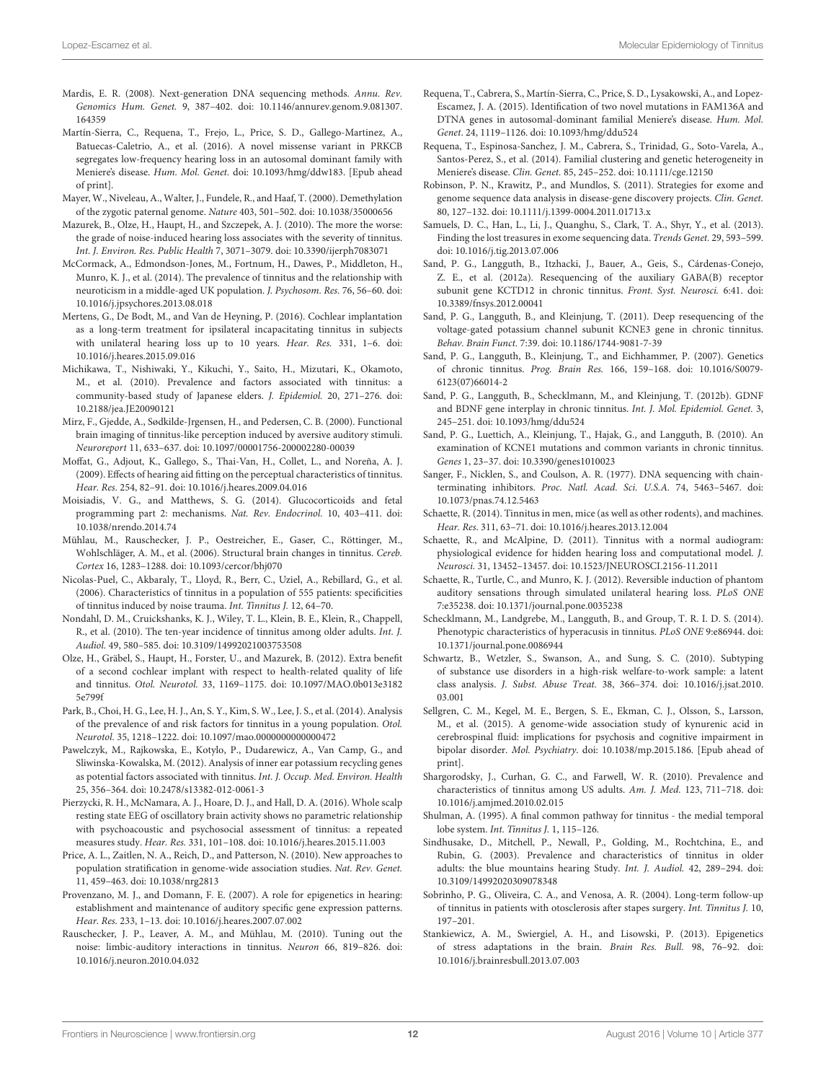- <span id="page-12-28"></span>Mardis, E. R. (2008). Next-generation DNA sequencing methods. Annu. Rev. Genomics Hum. Genet. 9, 387–402. doi: 10.1146/annurev.genom.9.081307. 164359
- <span id="page-12-33"></span>Martín-Sierra, C., Requena, T., Frejo, L., Price, S. D., Gallego-Martinez, A., Batuecas-Caletrio, A., et al. (2016). A novel missense variant in PRKCB segregates low-frequency hearing loss in an autosomal dominant family with Meniere's disease. Hum. Mol. Genet. doi: 10.1093/hmg/ddw183. [Epub ahead of print].
- <span id="page-12-36"></span>Mayer, W., Niveleau, A., Walter, J., Fundele, R., and Haaf, T. (2000). Demethylation of the zygotic paternal genome. Nature 403, 501–502. doi: 10.1038/35000656
- <span id="page-12-39"></span>Mazurek, B., Olze, H., Haupt, H., and Szczepek, A. J. (2010). The more the worse: the grade of noise-induced hearing loss associates with the severity of tinnitus. Int. J. Environ. Res. Public Health 7, 3071–3079. doi: 10.3390/ijerph7083071
- <span id="page-12-6"></span>McCormack, A., Edmondson-Jones, M., Fortnum, H., Dawes, P., Middleton, H., Munro, K. J., et al. (2014). The prevalence of tinnitus and the relationship with neuroticism in a middle-aged UK population. J. Psychosom. Res. 76, 56–60. doi: 10.1016/j.jpsychores.2013.08.018
- <span id="page-12-20"></span>Mertens, G., De Bodt, M., and Van de Heyning, P. (2016). Cochlear implantation as a long-term treatment for ipsilateral incapacitating tinnitus in subjects with unilateral hearing loss up to 10 years. Hear. Res. 331, 1–6. doi: 10.1016/j.heares.2015.09.016
- <span id="page-12-3"></span>Michikawa, T., Nishiwaki, Y., Kikuchi, Y., Saito, H., Mizutari, K., Okamoto, M., et al. (2010). Prevalence and factors associated with tinnitus: a community-based study of Japanese elders. J. Epidemiol. 20, 271–276. doi: 10.2188/jea.JE20090121
- <span id="page-12-25"></span>Mirz, F., Gjedde, A., Sødkilde-Jrgensen, H., and Pedersen, C. B. (2000). Functional brain imaging of tinnitus-like perception induced by aversive auditory stimuli. Neuroreport 11, 633–637. doi: 10.1097/00001756-200002280-00039
- <span id="page-12-18"></span>Moffat, G., Adjout, K., Gallego, S., Thai-Van, H., Collet, L., and Noreña, A. J. (2009). Effects of hearing aid fitting on the perceptual characteristics of tinnitus. Hear. Res. 254, 82–91. doi: 10.1016/j.heares.2009.04.016
- <span id="page-12-40"></span>Moisiadis, V. G., and Matthews, S. G. (2014). Glucocorticoids and fetal programming part 2: mechanisms. Nat. Rev. Endocrinol. 10, 403–411. doi: 10.1038/nrendo.2014.74
- <span id="page-12-26"></span>Mühlau, M., Rauschecker, J. P., Oestreicher, E., Gaser, C., Röttinger, M., Wohlschläger, A. M., et al. (2006). Structural brain changes in tinnitus. Cereb. Cortex 16, 1283–1288. doi: 10.1093/cercor/bhj070
- <span id="page-12-0"></span>Nicolas-Puel, C., Akbaraly, T., Lloyd, R., Berr, C., Uziel, A., Rebillard, G., et al. (2006). Characteristics of tinnitus in a population of 555 patients: specificities of tinnitus induced by noise trauma. Int. Tinnitus J. 12, 64–70.
- <span id="page-12-4"></span>Nondahl, D. M., Cruickshanks, K. J., Wiley, T. L., Klein, B. E., Klein, R., Chappell, R., et al. (2010). The ten-year incidence of tinnitus among older adults. Int. J. Audiol. 49, 580–585. doi: 10.3109/14992021003753508
- <span id="page-12-19"></span>Olze, H., Gräbel, S., Haupt, H., Forster, U., and Mazurek, B. (2012). Extra benefit of a second cochlear implant with respect to health-related quality of life and tinnitus. Otol. Neurotol. 33, 1169–1175. doi: 10.1097/MAO.0b013e3182 5e799f
- <span id="page-12-7"></span>Park, B., Choi, H. G., Lee, H. J., An, S. Y., Kim, S. W., Lee, J. S., et al. (2014). Analysis of the prevalence of and risk factors for tinnitus in a young population. Otol. Neurotol. 35, 1218–1222. doi: 10.1097/mao.0000000000000472
- <span id="page-12-12"></span>Pawelczyk, M., Rajkowska, E., Kotylo, P., Dudarewicz, A., Van Camp, G., and Sliwinska-Kowalska, M. (2012). Analysis of inner ear potassium recycling genes as potential factors associated with tinnitus. Int. J. Occup. Med. Environ. Health 25, 356–364. doi: 10.2478/s13382-012-0061-3
- <span id="page-12-23"></span>Pierzycki, R. H., McNamara, A. J., Hoare, D. J., and Hall, D. A. (2016). Whole scalp resting state EEG of oscillatory brain activity shows no parametric relationship with psychoacoustic and psychosocial assessment of tinnitus: a repeated measures study. Hear. Res. 331, 101–108. doi: 10.1016/j.heares.2015.11.003
- <span id="page-12-31"></span>Price, A. L., Zaitlen, N. A., Reich, D., and Patterson, N. (2010). New approaches to population stratification in genome-wide association studies. Nat. Rev. Genet. 11, 459–463. doi: 10.1038/nrg2813
- <span id="page-12-38"></span>Provenzano, M. J., and Domann, F. E. (2007). A role for epigenetics in hearing: establishment and maintenance of auditory specific gene expression patterns. Hear. Res. 233, 1–13. doi: 10.1016/j.heares.2007.07.002
- <span id="page-12-22"></span>Rauschecker, J. P., Leaver, A. M., and Mühlau, M. (2010). Tuning out the noise: limbic-auditory interactions in tinnitus. Neuron 66, 819–826. doi: 10.1016/j.neuron.2010.04.032
- <span id="page-12-32"></span>Requena, T., Cabrera, S., Martín-Sierra, C., Price, S. D., Lysakowski, A., and Lopez-Escamez, J. A. (2015). Identification of two novel mutations in FAM136A and DTNA genes in autosomal-dominant familial Meniere's disease. Hum. Mol. Genet. 24, 1119–1126. doi: 10.1093/hmg/ddu524
- <span id="page-12-35"></span>Requena, T., Espinosa-Sanchez, J. M., Cabrera, S., Trinidad, G., Soto-Varela, A., Santos-Perez, S., et al. (2014). Familial clustering and genetic heterogeneity in Meniere's disease. Clin. Genet. 85, 245–252. doi: 10.1111/cge.12150
- <span id="page-12-29"></span>Robinson, P. N., Krawitz, P., and Mundlos, S. (2011). Strategies for exome and genome sequence data analysis in disease-gene discovery projects. Clin. Genet. 80, 127–132. doi: 10.1111/j.1399-0004.2011.01713.x
- <span id="page-12-30"></span>Samuels, D. C., Han, L., Li, J., Quanghu, S., Clark, T. A., Shyr, Y., et al. (2013). Finding the lost treasures in exome sequencing data. Trends Genet. 29, 593–599. doi: 10.1016/j.tig.2013.07.006
- <span id="page-12-10"></span>Sand, P. G., Langguth, B., Itzhacki, J., Bauer, A., Geis, S., Cárdenas-Conejo, Z. E., et al. (2012a). Resequencing of the auxiliary GABA(B) receptor subunit gene KCTD12 in chronic tinnitus. Front. Syst. Neurosci. 6:41. doi: 10.3389/fnsys.2012.00041
- <span id="page-12-9"></span>Sand, P. G., Langguth, B., and Kleinjung, T. (2011). Deep resequencing of the voltage-gated potassium channel subunit KCNE3 gene in chronic tinnitus. Behav. Brain Funct. 7:39. doi: 10.1186/1744-9081-7-39
- <span id="page-12-34"></span>Sand, P. G., Langguth, B., Kleinjung, T., and Eichhammer, P. (2007). Genetics of chronic tinnitus. Prog. Brain Res. 166, 159–168. doi: 10.1016/S0079- 6123(07)66014-2
- <span id="page-12-11"></span>Sand, P. G., Langguth, B., Schecklmann, M., and Kleinjung, T. (2012b). GDNF and BDNF gene interplay in chronic tinnitus. Int. J. Mol. Epidemiol. Genet. 3, 245–251. doi: 10.1093/hmg/ddu524
- <span id="page-12-8"></span>Sand, P. G., Luettich, A., Kleinjung, T., Hajak, G., and Langguth, B. (2010). An examination of KCNE1 mutations and common variants in chronic tinnitus. Genes 1, 23–37. doi: 10.3390/genes1010023
- <span id="page-12-27"></span>Sanger, F., Nicklen, S., and Coulson, A. R. (1977). DNA sequencing with chainterminating inhibitors. Proc. Natl. Acad. Sci. U.S.A. 74, 5463–5467. doi: 10.1073/pnas.74.12.5463
- <span id="page-12-16"></span>Schaette, R. (2014). Tinnitus in men, mice (as well as other rodents), and machines. Hear. Res. 311, 63–71. doi: 10.1016/j.heares.2013.12.004
- <span id="page-12-21"></span>Schaette, R., and McAlpine, D. (2011). Tinnitus with a normal audiogram: physiological evidence for hidden hearing loss and computational model. J. Neurosci. 31, 13452–13457. doi: 10.1523/JNEUROSCI.2156-11.2011
- <span id="page-12-15"></span>Schaette, R., Turtle, C., and Munro, K. J. (2012). Reversible induction of phantom auditory sensations through simulated unilateral hearing loss. PLoS ONE 7:e35238. doi: 10.1371/journal.pone.0035238
- <span id="page-12-1"></span>Schecklmann, M., Landgrebe, M., Langguth, B., and Group, T. R. I. D. S. (2014). Phenotypic characteristics of hyperacusis in tinnitus. PLoS ONE 9:e86944. doi: 10.1371/journal.pone.0086944
- <span id="page-12-13"></span>Schwartz, B., Wetzler, S., Swanson, A., and Sung, S. C. (2010). Subtyping of substance use disorders in a high-risk welfare-to-work sample: a latent class analysis. J. Subst. Abuse Treat. 38, 366–374. doi: 10.1016/j.jsat.2010. 03.001
- <span id="page-12-14"></span>Sellgren, C. M., Kegel, M. E., Bergen, S. E., Ekman, C. J., Olsson, S., Larsson, M., et al. (2015). A genome-wide association study of kynurenic acid in cerebrospinal fluid: implications for psychosis and cognitive impairment in bipolar disorder. Mol. Psychiatry. doi: 10.1038/mp.2015.186. [Epub ahead of print].
- <span id="page-12-5"></span>Shargorodsky, J., Curhan, G. C., and Farwell, W. R. (2010). Prevalence and characteristics of tinnitus among US adults. Am. J. Med. 123, 711–718. doi: 10.1016/j.amjmed.2010.02.015
- <span id="page-12-24"></span>Shulman, A. (1995). A final common pathway for tinnitus - the medial temporal lobe system. Int. Tinnitus J. 1, 115–126.
- <span id="page-12-2"></span>Sindhusake, D., Mitchell, P., Newall, P., Golding, M., Rochtchina, E., and Rubin, G. (2003). Prevalence and characteristics of tinnitus in older adults: the blue mountains hearing Study. Int. J. Audiol. 42, 289–294. doi: 10.3109/14992020309078348
- <span id="page-12-17"></span>Sobrinho, P. G., Oliveira, C. A., and Venosa, A. R. (2004). Long-term follow-up of tinnitus in patients with otosclerosis after stapes surgery. Int. Tinnitus J. 10, 197–201.
- <span id="page-12-37"></span>Stankiewicz, A. M., Swiergiel, A. H., and Lisowski, P. (2013). Epigenetics of stress adaptations in the brain. Brain Res. Bull. 98, 76–92. doi: 10.1016/j.brainresbull.2013.07.003